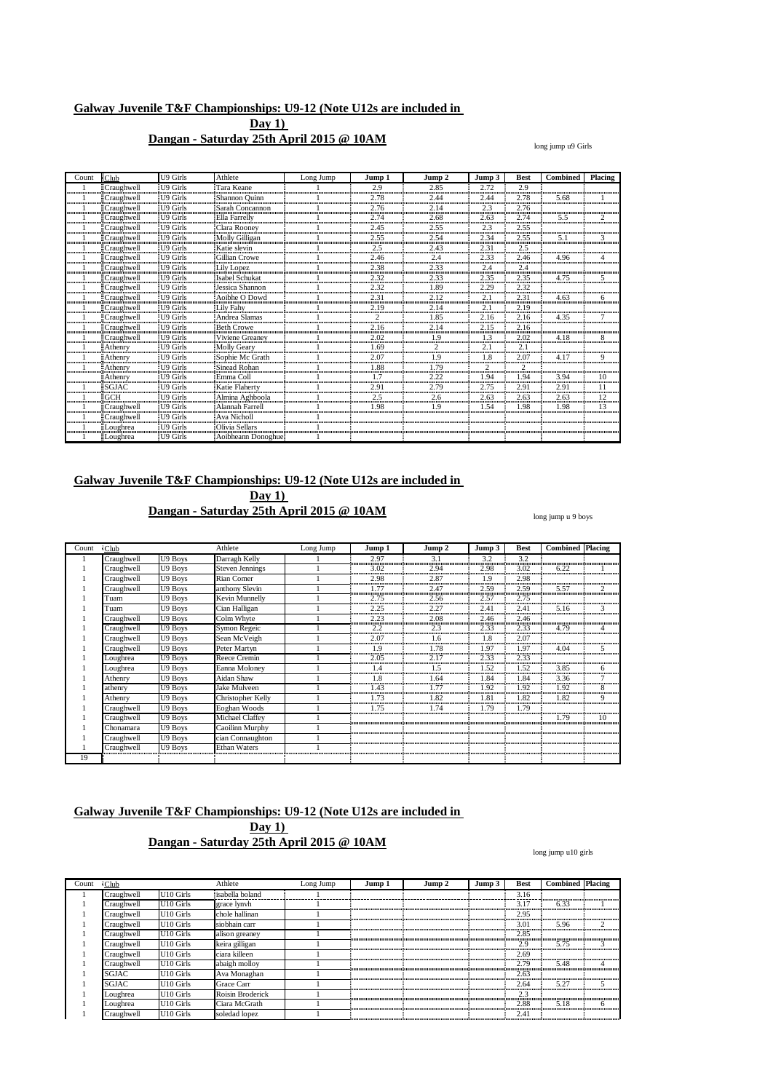## **Dangan - Saturday 25th April 2015 @ 10AM**

long jump u9 Girls

| Count | Club              | U9 Girls             | Athlete                | Long Jump | Jump 1             | Jump 2             | Jump 3                    | <b>Best</b> | Combined | Placing |
|-------|-------------------|----------------------|------------------------|-----------|--------------------|--------------------|---------------------------|-------------|----------|---------|
|       | ≣Craughwell       | U9 Girls             | Tara Keane             |           | 2.9<br>տասասասասան | 2.85<br>           | 2.72<br>,,,,,,,,,,,,,,,,, | 2.9<br>     |          |         |
|       | ≣Craughwell       | #U9 Girls            | Shannon Quinn          |           | 2.78               | 2.44               | 2.44                      | 2.78        | 5.68     |         |
|       | Craughwell        | U9 Girls             | Sarah Concannon        |           | 2.76<br>           | 2.14<br>           | 2.3                       | 2.76<br>    |          |         |
|       | ≣Craughwell       | <sup>119</sup> Girls | <b>Ella Farrelly</b>   |           | 2.74               | 2.68<br>           | 2.63                      | 2.74        | 5.5      |         |
|       | Craughwell        | U9 Girls:            | Clara Rooney           |           | 2.45               | 2.55<br>           | 2.3<br>                   | 2.55<br>    |          |         |
|       | ≣Craughwell       | :U9 Girls            | Molly Gilligan         |           | 2.55<br>,,,,,,,,,  | 2.54               | 2.34                      | 2.55        | 5.1      |         |
|       | Craughwell        | II9 Girls            | Katie slevin           |           | 2.5                | 2.43               | 2.31                      | 2.5         |          |         |
|       | Craughwell        | U9 Girls             | Gillian Crowe          |           | 2.46<br>           | 2.4<br>,,,,,,,,,,, | 2.33<br>                  | 2.46<br>    | 4.96     |         |
|       | Craughwell        | U9 Girls!            | Lily Lopez             |           | 2.38               | 2.33<br>           | 2.4                       | 2.4         |          |         |
|       | Craughwell        | U9 Girls             | <b>Isabel Schukat</b>  |           | 2.32               | 2.33               | 2.35                      | 2.35        |          |         |
|       | Craughwell        | II9 Girls            | Jessica Shannon        |           | 2.32               | 1.89               | 2.29                      | 2.32        |          |         |
|       | Craughwell        | U9 Girls!            | Aoibhe O Dowd          |           | 2.31<br>,,,,,,,,,  | 2.12               | 2.1<br>                   | 2.31        | 4.63     | 6       |
|       | Craughwell        | HI9 Girls            | Lily Fahy              |           |                    | 2.14               | 2.<br>                    | 2.19        |          |         |
|       | :Craughwell       | U9 Girls             | Andrea Slamas          |           |                    | 1.85               |                           | 2.16        | 4.35     |         |
|       | Craughwell        | 119 Girls            | <b>Beth Crowe</b>      |           | 2.16               | 2.14               | 2.15                      | 2.16        |          |         |
|       | Craughwell        | II9 Girls            | Viviene Greaney        |           | 2.02               | .9                 |                           | 2.02        |          |         |
|       | Athenry           | U9 Girls             | <b>Molly Geary</b>     |           | .69                |                    | $\mathcal{L}$             |             |          |         |
|       | Athenry           | T9 Girls             | -Sophie Mc Grath       |           |                    | $\cdot$            |                           | -07         |          |         |
|       | Athenry           | <b>II9 Girls</b>     | Sinead Rohan           |           | 1.88               | 1.79<br>           |                           |             |          |         |
|       | Athenry<br>       | U9 Girls             | Emma Col               |           |                    | 222                | 94                        | .94         | 3.94     | 10      |
|       | SGJAC             | U9 Girls             | Katie Flaherty         |           | 2.9<br>            | 2.79               | 2.75                      | 2.91        | 2.9      |         |
|       | ≣GCH              | U9 Girls             | Almina Aghboola        |           | 2.5<br>            | 2.6                | 2.63<br>                  | 2.63        | 2.63<br> | 12<br>  |
|       | <b>Craughwell</b> | <b>II9 Girls</b>     | Alannah Farrel         |           | 1.98               | 1.9                | 1.54                      | .98         | .98      |         |
|       | Craughwell        | U9 Girls<br>         | <b>Ava Nicholl</b><br> |           |                    |                    |                           |             |          |         |
|       | oughrea           | U9 Girls             | <b>Olivia Sellars</b>  |           |                    |                    |                           |             |          |         |
|       | ≣Loughrea         | U9 Girls             | Aoibheann Donoghue     |           |                    |                    |                           |             |          |         |

## **Galway Juvenile T&F Championships: U9-12 (Note U12s are included in Day 1) Dangan - Saturday 25th April 2015 @ 10AM**

| Count | $\cdot$ Club |         | Athlete                | Long Jump | Jump 1    | Jump 2             | Jump 3              | <b>Best</b> | <b>Combined Placing</b> |                    |
|-------|--------------|---------|------------------------|-----------|-----------|--------------------|---------------------|-------------|-------------------------|--------------------|
|       | Craughwell   | U9 Boys | Darragh Kelly          |           | 2.97      |                    | 32                  | 3.2         |                         |                    |
|       | Craughwell   | U9 Boys | <b>Steven Jennings</b> |           | 3.02      | 2.94               | 2.98                | 3.02        | 6.22                    |                    |
|       | Craughwell   | U9 Boys | Rian Comer             |           | 2.98<br>' | 2.87               | 1.9                 | 2.98        |                         |                    |
|       | Craughwell   | U9 Boys | anthony Slevin         |           |           | 2.47<br>           | 2.59<br>            | 2.59        | 5.57                    |                    |
|       | Tuam         | U9 Boys | Kevin Munnelly         |           | 2.75      | 2.56               | 2.57                | 2.75        |                         |                    |
|       | Tuam         | U9 Boys | Cian Halligan          |           | 2.25      | 2.27<br>           | 2.41<br>,,,,,,,,,,, | 2.41        | 5.16                    | <del>.</del>       |
|       | Craughwell   | U9 Boys | Colm Whyte             |           |           | 2.08<br><br>ասասան | 2.46<br>            | 2.46<br>    |                         |                    |
|       | Craughwell   | U9 Boys | Symon Regeic           |           | 2.2       | 2.3                | 2.33                | 2.33        | 4.79                    |                    |
|       | Craughwell   | U9 Boys | Sean McVeigh           |           | 2.07      |                    | 1.8<br>             | 2.07        |                         |                    |
|       | Craughwell   | U9 Boys | Peter Martyn           |           |           | 1.78               | 1.97                | 1.97        | 4.04                    |                    |
|       | Loughrea     | U9 Boys | Reece Cremin           |           | 2.05      | 2.17               | 2.33                | 2.33        |                         |                    |
|       | Loughrea     | U9 Boys | Eanna Moloney          |           |           |                    | 1.52                | .52         | 3.85                    |                    |
|       | Athenry      | U9 Boys | Aidan Shaw             |           |           | .64                | <br>1.84            | 1.84        | 3.36                    | ,,,,,,,,,,,,,,,,,, |
|       | athenry      | U9 Boys | Jake Mulveen           |           | 1.43      | - 77               | 1.92                | 1.92        | 1.92                    |                    |
|       | Athenry      | U9 Boys | Christopher Kelly      |           |           | l.82<br>           | 1.81                | .82         | <br>1.82                | <br>               |
|       | Craughwell   | U9 Boys | Eoghan Woods           |           | .75       | .74                | 1.79                | 79          |                         |                    |
|       | Craughwell   | U9 Boys | Michael Claffey        |           |           |                    |                     |             | 1.79                    |                    |
|       | Chonamara    | U9 Boys | Caoilinn Murphy        |           |           |                    |                     |             |                         |                    |
|       | Craughwell   | U9 Boys | cian Connaughton       |           |           |                    |                     |             |                         |                    |
|       | Craughwell   | U9 Boys | <b>Ethan Waters</b>    |           |           |                    |                     |             |                         |                    |
| 19    |              |         |                        |           |           |                    |                     |             |                         |                    |

## **Galway Juvenile T&F Championships: U9-12 (Note U12s are included in Day 1)**

## **Dangan - Saturday 25th April 2015 @ 10AM**

#### long jump u10 girls

long jump u 9 boys

| Count | $\cdot$ Club |                       | Athlete          | Long Jump | Jump 1 | Jump 2 | Jump 3 | <b>Best</b> | <b>Combined Placing</b> |  |
|-------|--------------|-----------------------|------------------|-----------|--------|--------|--------|-------------|-------------------------|--|
|       | Craughwell   | U <sub>10</sub> Girls | isabella boland  |           |        |        |        | 3.16        |                         |  |
|       | Craughwell   | U <sub>10</sub> Girls | grace lynvh      |           |        |        |        | 3.17        | 6.33                    |  |
|       | Craughwell   | U <sub>10</sub> Girls | chole hallinan   |           |        |        |        | 2.95        |                         |  |
|       | Craughwell   | U <sub>10</sub> Girls | siobhain carr    |           |        |        |        | 3.01        | 5.96                    |  |
|       | Craughwell   | U <sub>10</sub> Girls | alison greaney   |           |        |        |        | 2.85        |                         |  |
|       | Craughwell   | U <sub>10</sub> Girls | keira gilligan   |           |        |        |        | 2.9         | 5.75                    |  |
|       | Craughwell   | U <sub>10</sub> Girls | ciara killeen    |           |        |        |        | 2.69        |                         |  |
|       | Craughwell   | U <sub>10</sub> Girls | abaigh molloy    |           |        |        |        | 2.79        | 5.48                    |  |
|       | <b>SGJAC</b> | U <sub>10</sub> Girls | Ava Monaghan     |           |        |        |        | 2.63        |                         |  |
|       | <b>SGJAC</b> | U <sub>10</sub> Girls | Grace Carr       |           |        |        |        | 2.64        | 5.27                    |  |
|       | Loughrea     | U <sub>10</sub> Girls | Roisin Broderick |           |        |        |        | 2.3         |                         |  |
|       | ∟oughrea     | U <sub>10</sub> Girls | Ciara McGrath    |           |        |        |        | 2.88        | 5.18                    |  |
|       | Craughwell   | U <sub>10</sub> Girls | soledad lopez    |           |        |        |        | 2.41        |                         |  |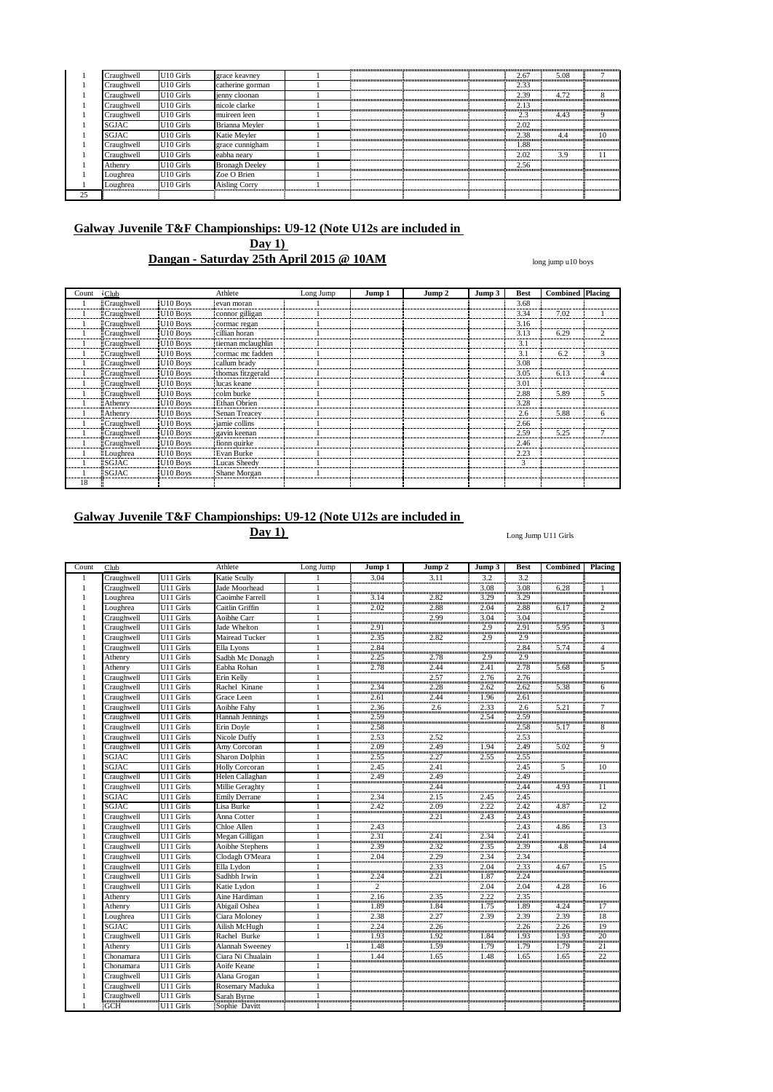|    | Craughwell   | U <sub>10</sub> Girls | grace keavney         |  |  | 2.67 | 5.08 | ,,,,,,,,,,,,,,,,,,,,,,,,,,,,,,,,, |
|----|--------------|-----------------------|-----------------------|--|--|------|------|-----------------------------------|
|    | Craughwell   | U <sub>10</sub> Girls | catherine gorman      |  |  | 2.33 |      |                                   |
|    | Craughwell   | U <sub>10</sub> Girls | jenny cloonan         |  |  | 2.39 | 4.72 |                                   |
|    | Craughwell   | U <sub>10</sub> Girls | nicole clarke         |  |  | 2.13 |      |                                   |
|    | Craughwell   | U <sub>10</sub> Girls | muireen leen          |  |  | 2.3  | 4.43 | Q                                 |
|    | <b>SGJAC</b> | U <sub>10</sub> Girls | Brianna Meyler        |  |  | 2.02 |      |                                   |
|    | <b>SGJAC</b> | U <sub>10</sub> Girls | Katie Meyler          |  |  | 2.38 | 4.4  | 10                                |
|    | Craughwell   | U <sub>10</sub> Girls | grace cunnigham       |  |  | .88  |      |                                   |
|    | Craughwell   | U <sub>10</sub> Girls | eabha nearv           |  |  | 2.02 | 3.9  |                                   |
|    | Athenry      | U <sub>10</sub> Girls | <b>Bronagh Deeley</b> |  |  | 2.56 |      |                                   |
|    | Loughrea     | U <sub>10</sub> Girls | Zoe O Brien           |  |  |      |      |                                   |
|    | Loughrea     | U <sub>10</sub> Girls | <b>Aisling Corry</b>  |  |  |      |      |                                   |
| 25 |              |                       |                       |  |  |      |      |                                   |

**Dangan - Saturday 25th April 2015 @ 10AM**

long jump u10 boys

| Count | $\cdot$ Club      |                      | Athlete             | Long Jump | Jump 1 | Jump 2 | Jump 3 | <b>Best</b> | <b>Combined Placing</b> |                |
|-------|-------------------|----------------------|---------------------|-----------|--------|--------|--------|-------------|-------------------------|----------------|
|       | <b>Craughwell</b> | U <sub>10</sub> Boys | evan moran          |           |        |        |        | 3.68        |                         |                |
|       | <b>Craughwell</b> | U <sub>10</sub> Boys | connor gilligan     |           |        |        |        | 3.34        | 7.02                    |                |
|       | <b>Craughwell</b> | U <sub>10</sub> Boys | cormac regan        |           |        |        |        | 3.16        |                         |                |
|       | <b>Craughwell</b> | U <sub>10</sub> Boys | cillian horan       |           |        |        |        | 3.13        | 6.29                    | $\overline{c}$ |
|       | <b>Craughwell</b> | U <sub>10</sub> Boys | tiernan mclaughlin  |           |        |        |        | 3.1         |                         |                |
|       | <b>Craughwell</b> | U <sub>10</sub> Boys | cormac mc fadden    |           |        |        |        | 3.1         | 6.2                     | 3              |
|       | <b>Craughwell</b> | U10 Boys             | callum brady        |           |        |        |        | 3.08        |                         |                |
|       | Craughwell        | U <sub>10</sub> Boys | thomas fitzgerald   |           |        |        |        | 3.05        | 6.13                    | 4              |
|       | <b>Craughwell</b> | U <sub>10</sub> Boys | Iucas keane         |           |        |        |        | 3.01        |                         |                |
|       | Craughwell        | U <sub>10</sub> Boys | colm burke          |           |        |        |        | 2.88        | 5.89                    | 5              |
|       | <b>Athenry</b>    | U <sub>10</sub> Boys | <b>Ethan Obrien</b> |           |        |        |        | 3.28        |                         |                |
|       | <b>Athenry</b>    | U10 Boys             | Senan Treacev       |           |        |        |        | 2.6         | 5.88                    | 6              |
|       | Craughwell        | U <sub>10</sub> Boys | jamie collins       |           |        |        |        | 2.66        |                         |                |
|       | Craughwell        | U10 Boys             | gavin keenan        |           |        |        |        | 2.59        | 5.25                    |                |
|       | Craughwell        | U <sub>10</sub> Boys | : fionn quirke      |           |        |        |        | 2.46        |                         |                |
|       | :Loughrea         | U <sub>10</sub> Boys | Evan Burke          |           |        |        |        | 2.23        |                         |                |
|       | 'SGJAC            | U <sub>10</sub> Boys | Lucas Sheedy        |           |        |        |        | 3           |                         |                |
|       | <b>SGJAC</b>      | U <sub>10</sub> Boys | Shane Morgan        |           |        |        |        |             |                         |                |
| 18    |                   |                      |                     |           |        |        |        |             |                         |                |

# **Galway Juvenile T&F Championships: U9-12 (Note U12s are included in**

**Day 1)**

Long Jump U11 Girls

| Count        | Club         |           | Athlete                | Long Jump      | Jump 1              | Jump 2                | Jump 3              | <b>Best</b>         | <b>Combined</b>     | Placing         |
|--------------|--------------|-----------|------------------------|----------------|---------------------|-----------------------|---------------------|---------------------|---------------------|-----------------|
| 1            | Craughwell   | U11 Girls | Katie Scully           |                | 3.04                | 3.11                  | 3.2                 | 3.2                 |                     |                 |
| $\mathbf{1}$ | Craughwell   | U11 Girls | Jade Moorhead          |                |                     |                       | $\frac{1}{3.08}$    | 3.08                | 6.28                |                 |
|              | Loughrea     | U11 Girls | Caoimhe Farrell        | $\mathbf{1}$   | 3.14                | 2.82                  | 3.29                | 3.29                |                     |                 |
|              | Loughrea     | U11 Girls | Caitlin Griffin        | $\mathbf{1}$   | 2.02                |                       | $\frac{2.04}{3.04}$ | 2.88                | 6.17                | $rac{2}{2}$     |
|              | Craughwell   | U11 Girls | Aoibhe Carr            | $\mathbf{1}$   |                     | $\frac{2.88}{2.99}$   |                     | $\frac{1}{3.04}$    |                     |                 |
|              | Craughwell   | U11 Girls | Jade Whelton           | $\mathbf{1}$   | 2.91                |                       | $\frac{2.9}{2.9}$   | $\frac{3}{2.91}$    | 5.95                | 3               |
|              | Craughwell   | U11 Girls | <b>Mairead Tucker</b>  | $\mathbf{1}$   | 2.35                | ,,,,,,,,,,,,,<br>2.82 | 2.9                 |                     |                     |                 |
|              | Craughwell   | U11 Girls | Ella Lyons             | $\mathbf{1}$   | 2.84                |                       |                     | $\frac{2.9}{2.84}$  | 5.74                | $\overline{4}$  |
|              | Athenry      | U11 Girls | Sadbh Mc Donagh        | $\mathbf{1}$   | 2.25                | $\frac{2.78}{2.78}$   | $\frac{1}{2.9}$     | 2.9                 |                     |                 |
|              | Athenry      | U11 Girls | Eabha Rohan            | $\mathbf{1}$   | 2.78                | 2.44                  | 2.41                | 2.78                | 5.68                | 3               |
|              | Craughwell   | U11 Girls | Erin Kelly             | $\mathbf{1}$   |                     | $\frac{2.57}{2.57}$   | $\frac{1}{2.76}$    | 2.76                |                     |                 |
|              | Craughwell   | U11 Girls | Rachel Kinane          | $\mathbf{1}$   | 2.34                | 2.28                  | 2.62                | 2.62                | 5.38                | 6               |
|              | Craughwell   | U11 Girls | Grace Leen             | $\mathbf{1}$   |                     |                       | 1.96                |                     |                     |                 |
|              | Craughwell   | U11 Girls | <b>Aoibhe Fahy</b>     | $\mathbf{1}$   | $\frac{2.61}{2.36}$ | $\frac{2.44}{2.6}$    | $\frac{1.50}{2.33}$ | $\frac{2.61}{2.6}$  | $\frac{1}{5.21}$    | $\frac{1}{7}$   |
|              | Craughwell   | U11 Girls | Hannah Jennings        | $\mathbf{1}$   | 2.59                |                       | 2.54                |                     |                     |                 |
|              | Craughwell   | U11 Girls | Erin Doyle             | $\mathbf{1}$   | 2.58                |                       |                     | $\frac{2.59}{2.58}$ | $\frac{1}{5.17}$    | ,,,,,,,,,,<br>8 |
|              | Craughwell   | U11 Girls | Nicole Duffy           | $\mathbf{1}$   | 2.53                | 2.52                  |                     | 2.53                |                     |                 |
|              | Craughwell   | U11 Girls | Amy Corcoran           | $\mathbf{1}$   | 2.09                | 2.49                  | 1.94                | 2.49                | 5.02                | 9               |
|              | SGJAC        | U11 Girls | Sharon Dolphin         | $\mathbf{1}$   | 2.55                | 2.27                  | 2.55                | $\frac{36}{2.55}$   |                     |                 |
|              | SGJAC        | U11 Girls | <b>Holly Corcoran</b>  | $\mathbf{1}$   | 2.45                | 2.41                  |                     | 2.45                | 5                   | 10              |
|              | Craughwell   | U11 Girls | Helen Callaghan        | 1              | 2.49                | 2.49                  |                     | 2.49                |                     |                 |
|              | Craughwell   | U11 Girls | Millie Geraghty        | $\mathbf{1}$   |                     | <br>2.44              |                     | 2.44                | 4.93                | <br>11          |
|              | <b>SGJAC</b> | U11 Girls | <b>Emily Derrane</b>   | $\mathbf{1}$   | 2.34                | $\frac{5}{2.15}$      | 2.45                | 2.45                |                     |                 |
|              | <b>SGJAC</b> | U11 Girls | Lisa Burke             | $\mathbf{1}$   | 2.42                | 2.09                  |                     | 2.42                | 4.87                | $\frac{12}{2}$  |
|              | Craughwell   | U11 Girls | Anna Cotter            | $\mathbf{1}$   |                     | 2.21                  | $\frac{2.22}{2.43}$ | $\frac{1}{2.43}$    |                     |                 |
|              | Craughwell   | U11 Girls | Chloe Allen            | $\mathbf{1}$   | 2.43                |                       |                     | $\frac{2.75}{2.43}$ | 4.86                | 13              |
|              | Craughwell   | U11 Girls | Megan Gilligan         | $\mathbf{1}$   | 2.31                | <br>2.41              | <br>2.34            | 2.41                |                     |                 |
|              | Craughwell   | U11 Girls | Aoibhe Stephens        | $\mathbf{1}$   | 2.39                |                       | 2.35                | 2.39                | 4.8                 | 14              |
|              | Craughwell   | U11 Girls | Clodagh O'Meara        | $\mathbf{1}$   | 2.04                | $\frac{2.32}{2.29}$   | 2.34                | 2.34                |                     |                 |
|              | Craughwell   | U11 Girls | Ella Lydon             | $\mathbf{1}$   |                     | 2.33                  | 2.04                | 2.33                | 4.67                | $\overline{15}$ |
|              | Craughwell   | U11 Girls | Sadhbh Irwin           | $\mathbf{1}$   | 2.24                | $\frac{2.55}{2.21}$   | $\frac{2000}{1.87}$ | 2.24                |                     |                 |
|              | Craughwell   | U11 Girls | Katie Lydon            | $\mathbf{1}$   | īī                  |                       | 2.04                | 2.04                | 4.28                |                 |
|              | Athenry      | U11 Girls | Aine Hardiman          | $\mathbf{1}$   |                     |                       | 2.22                | 2.35                |                     |                 |
|              | Athenry      | U11 Girls | Abigail Oshea          | $\mathbf{1}$   | $\frac{2.16}{1.89}$ | $\frac{2.35}{1.84}$   | يىتىت<br>1.75       | $\frac{2.55}{1.89}$ | 4.24                | $\frac{1}{17}$  |
|              | Loughrea     | U11 Girls | Ciara Moloney          | $\mathbf{1}$   | 2.38                | 2.27                  | 2.39                | 2.39                | 2.39                | $\frac{18}{18}$ |
|              | SGJAC        | U11 Girls | Ailish McHugh          | $\mathbf{1}$   | 2.24                | 2.26                  |                     | 2.26                | 2.26                | 19              |
|              | Craughwell   | U11 Girls | Rachel Burke           | $\mathbf{1}$   | 1.93                | 1.92                  | 1.84                | $\frac{1.93}{1.93}$ | 1.93                | $\frac{1}{20}$  |
|              | Athenry      | U11 Girls | <b>Alannah Sweeney</b> | 11             | 1.48                |                       | 1.79                | 1.79                | 1.79                |                 |
|              | Chonamara    | U11 Girls | Ciara Ni Chualain      | $\mathbf{1}$   | $\frac{1}{1.44}$    | $\frac{1.59}{1.65}$   | $\frac{1}{1.48}$    | $\frac{1.7}{1.65}$  | $\frac{1.65}{1.65}$ | $\frac{21}{22}$ |
|              | Chonamara    | U11 Girls | Aoife Keane            | $\mathbf{1}$   |                     |                       |                     |                     |                     |                 |
|              | Craughwell   | U11 Girls | Alana Grogan           | 1              |                     |                       |                     |                     |                     |                 |
|              | Craughwell   | U11 Girls | Rosemary Maduka        | $\mathbf{1}$   |                     |                       |                     |                     |                     |                 |
|              | Craughwell   | U11 Girls | Sarah Byrne            | $\overline{1}$ |                     |                       |                     |                     |                     |                 |
|              | <b>GCH</b>   | U11 Girls | Sophie Davitt          | -1             |                     |                       |                     |                     |                     |                 |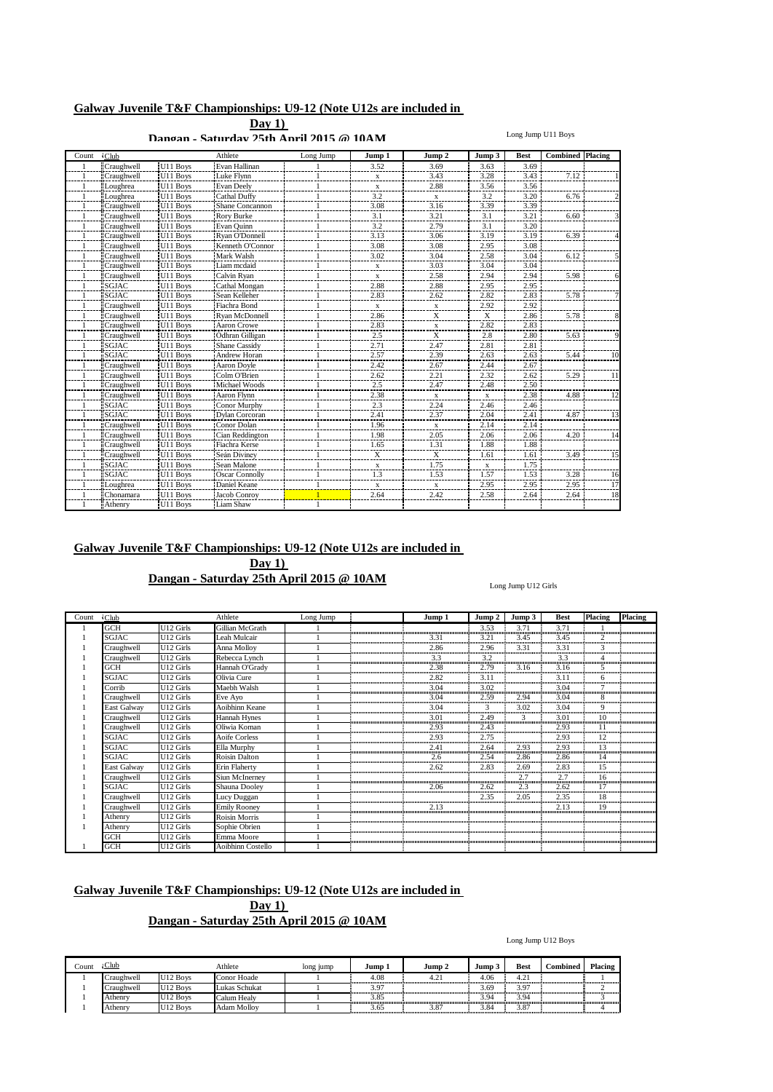**Day 1) Dangan - Saturday 25th April 2015 @ 10AM**

#### Long Jump U11 Boys

| Count | <b>Club</b>       |                              | Athlete               | Long Jump | Jump 1        | Jump 2                    | Jump 3           | <b>Best</b> | <b>Combined</b> | Placing |
|-------|-------------------|------------------------------|-----------------------|-----------|---------------|---------------------------|------------------|-------------|-----------------|---------|
|       | Craughwell        | U11 Boys                     | Evan Hallinan         |           | 3.52          | 3.69                      | 3.63             | 3.69        |                 |         |
|       | Craughwell        | U11 Boys                     | Luke Flynn            |           | X             | 3.43                      | 3.28             | 3.43        | 7.12            |         |
|       | Loughrea          | U11 Boys                     | <b>Evan Deely</b>     |           | $\frac{X}{2}$ | 2.88                      | 3.56             | 3.56        |                 |         |
|       | Loughrea          | U11 Boys                     | Cathal Duffy          |           | 3.2           | $\mathbf x$               | 3.2              | 3.20        | 6.76            |         |
|       | Craughwell        | U11 Boys                     | Shane Concannon       |           | 3.08          | 3.16                      | 3.39             | 3.39        |                 |         |
|       | Craughwell        | U11 Boys                     | Rory Burke            |           | 3.1           | 3.21                      | 3.1              | 3.21        | 6.60            |         |
|       | Craughwell        | U11 Boys                     | Evan Quinn            |           | 3.2           | 2.79                      | 3.1              | 3.20        |                 |         |
|       | <b>Craughwell</b> | U11 Boys                     | Rvan O'Donnell        |           | 3.13          | 3.06                      | 3.19             | 3.19        | 6.39            |         |
|       | Craughwell        | U11 Boys                     | Kenneth O'Connor      |           | 3.08          | 3.08                      | 2.95             | 3.08        |                 |         |
|       | Craughwell        | U11 Boys                     | Mark Walsh            |           | 3.02          | 3.04                      | 2.58             | 3.04        | 6.12            |         |
|       | Craughwell        | U11 Boys                     | Liam mcdaid           |           | $\mathbf x$   | 3.03                      | 3.04             | 3.04        |                 |         |
|       | Craughwell        | U11 Boys                     | Calvin Ryan           |           | $\frac{X}{2}$ | 2.58                      | 2.94             | 2.94        | 5.98            |         |
|       | <b>SGJAC</b>      | U11 Boys                     | Cathal Mongan         |           | 2.88          | 2.88                      | 2.95             | 2.95        |                 |         |
|       | <b>SGJAC</b>      | U11 Boys                     | Sean Kelleher         |           | 2.83          | 2.62                      | 2.82             | 2.83        | 5.78            |         |
|       | Craughwell        | U11 Boys                     | Fiachra Bond          |           | $\mathbf{x}$  | $\overline{X}$            |                  | 2.92        |                 |         |
|       | Craughwell        | U11 Boys                     | Ryan McDonnell        |           | 2.86          | X                         | $\frac{2.92}{X}$ | 2.86        | 5.78            |         |
|       | Craughwell        | U11 Boys                     | Aaron Crowe           |           | 2.83          | $\mathbf x$               | 2.82             | 2.83        |                 |         |
|       | Craughwell        | U11 Boys                     | Ódhran Gilligan       |           | 2.5           | $\boldsymbol{\mathrm{X}}$ | 2.8              | 2.80        | 5.63            |         |
|       | <b>SGJAC</b>      | U11 Boys                     | <b>Shane Cassidy</b>  |           | 2.71          | 2.47                      | 2.81             | 2.81        |                 |         |
|       | SGJAC             | U11 Boys                     | <b>Andrew Horan</b>   |           | 2.57          | 2.39                      | 2.63             | 2.63        | 5.44            |         |
|       | Craughwell        | U11 Boys                     | Aaron Doyle           |           | 2.42          | 2.67                      | 2.44             | 2.67        |                 |         |
|       | Craughwell        | U11 Boys                     | Colm O'Brien          |           | 2.62          | 2.21                      | 2.32             | 2.62        | 5.29            |         |
|       | <b>Craughwell</b> | U11 Boys                     | Michael Woods         |           | 2.5           | 2.47                      | 2.48             | 2.50        |                 |         |
|       | Craughwell        | U11 Boys                     | Aaron Flynn           |           | 2.38          | x                         | X                | 2.38        | 4.88            |         |
|       | <b>SGJAC</b>      | U11 Boys                     | Conor Murphy          |           | 2.3           | 2.24                      | 2.46             | 2.46        |                 |         |
|       | <b>SGJAC</b>      | U11 Boys                     | Dylan Corcoran        |           | 2.41          | 2.37                      | 2.04             | 2.41        | 4.87            |         |
|       | Craughwell        | U11 Boys                     | Conor Dolan           |           | 1.96          | $\mathbf x$               | 2.14             | 2.14        |                 |         |
|       | Craughwell        | U11 Boys                     | Cian Reddington       |           | 1.98          | 2.05                      | 2.06             | 2.06        | 4.20            |         |
|       | Craughwell        | U11 Boys                     | Fiachra Kerse         |           | 1.65          | 1.31                      | 1.88             | 1.88        |                 |         |
|       | Craughwell        | U11 Boys                     | Seán Divinev          |           | X             | X                         | 1.61             | 1.61        | 3.49            |         |
|       | <b>SGJAC</b>      | U11 Boys                     | Sean Malone           |           | ---<br>X      | 1.75                      | $\mathbf x$      | 1.75        |                 |         |
|       | <b>SGJAC</b>      | $\rm U11$ Boys               | <b>Oscar Connolly</b> |           | 1.3           | 1.53                      | 1.57             | 1.53        | 3.28            |         |
|       | Loughrea          | $\overline{\text{U}11}$ Boys | Daniel Keane          |           | x             | x                         | 2.95             | 2.95        | 2.95            |         |
|       | Chonamara         | U11 Boys                     | Jacob Conroy          |           | 2.64          | 2.42                      | 2.58             | 2.64        | 2.64            |         |
|       | Athenry           | U11 Boys                     | Liam Shaw             |           |               |                           |                  |             |                 |         |

## **Galway Juvenile T&F Championships: U9-12 (Note U12s are included in**

**Dangan - Saturday 25th April 2015 @ 10AM**

**Day 1)**

Long Jump U12 Girls

| Count | $\cdot$ Club |           | Athlete              | Long Jump | Jump 1 | Jump 2 | Jump 3 | <b>Best</b> | Placing | <b>Placing</b> |
|-------|--------------|-----------|----------------------|-----------|--------|--------|--------|-------------|---------|----------------|
|       | <b>GCH</b>   | U12 Girls | Gillian McGrath      |           |        | 3.53   | 3.71   | 3.71        |         |                |
|       | <b>SGJAC</b> | U12 Girls | Leah Mulcair         |           | 3.31   | 3.21   | 3.45   | 3.45        | 2       |                |
|       | Craughwell   | U12 Girls | Anna Molloy          |           | 2.86   | 2.96   | 3.31   | 3.31        | 3       |                |
|       | Craughwell   | U12 Girls | Rebecca Lynch        |           | 3.3    | 3.2    |        | 3.3         |         |                |
|       | <b>GCH</b>   | U12 Girls | Hannah O'Grady       |           | 2.38   | 2.79   | 3.16   | 3.16        |         |                |
|       | <b>SGJAC</b> | U12 Girls | Olivia Cure          |           | 2.82   | 3.11   |        | 3.11        | 6       |                |
|       | Corrib       | U12 Girls | Maebh Walsh          |           | 3.04   | 3.02   |        | 3.04        |         |                |
|       | Craughwell   | U12 Girls | Eve Ayo              |           | 3.04   | 2.59   | 2.94   | 3.04        | 8       |                |
|       | East Galway  | U12 Girls | Aoibhinn Keane       |           | 3.04   |        | 3.02   | 3.04        |         |                |
|       | Craughwell   | U12 Girls | Hannah Hynes         |           | 3.01   | 2.49   |        | 3.01        | 10      |                |
|       | Craughwell   | U12 Girls | Oliwia Koman         |           | 2.93   | 2.43   |        | 2.93        |         |                |
|       | <b>SGJAC</b> | U12 Girls | <b>Aoife Corless</b> |           | 2.93   | 2.75   |        | 2.93        | 12      |                |
|       | <b>SGJAC</b> | U12 Girls | Ella Murphy          |           | 2.41   | 2.64   | 2.93   | 2.93        | 13      |                |
|       | <b>SGJAC</b> | U12 Girls | <b>Roisin Dalton</b> |           | 2.6    | 2.54   | 2.86   | 2.86        | 14      |                |
|       | East Galway  | U12 Girls | Erin Flaherty        |           | 2.62   | 2.83   | 2.69   | 2.83        | 15      |                |
|       | Craughwell   | U12 Girls | Siun McInerney       |           |        |        | 2.7    | 2.7         | 16      |                |
|       | SGJAC        | U12 Girls | Shauna Dooley        |           | 2.06   | 2.62   | 2.3    | 2.62        | 17      |                |
|       | Craughwell   | U12 Girls | Lucy Duggan          |           |        | 2.35   | 2.05   | 2.35        | 18      |                |
|       | Craughwell   | U12 Girls | <b>Emily Rooney</b>  |           | 2.13   |        |        | 2.13        | 19      |                |
|       | Athenry      | U12 Girls | <b>Roisin Morris</b> |           |        |        |        |             |         |                |
|       | Athenry      | U12 Girls | Sophie Obrien        |           |        |        |        |             |         |                |
|       | GCH          | U12 Girls | Emma Moore           |           |        |        |        |             |         |                |
|       | <b>GCH</b>   | U12 Girls | Aoibhinn Costello    |           |        |        |        |             |         |                |

## **Galway Juvenile T&F Championships: U9-12 (Note U12s are included in Day 1)**

**Dangan - Saturday 25th April 2015 @ 10AM**

Long Jump U12 Boys

| .'ount | $_{\text{Club}}$ |                      | Athlete            | long jump | Jump 1 | Jump 2 | Jump | Best             | <b>Combined</b> | <b>Placing</b> |
|--------|------------------|----------------------|--------------------|-----------|--------|--------|------|------------------|-----------------|----------------|
|        | Craughwell       | U <sub>12</sub> Boys | Conor Hoade        |           | 4.08   | $\sim$ | 4.06 | $\bigcap$<br>4.Z |                 |                |
|        | .`raughwell      | U <sub>12</sub> Boys | Lukas Schukat      |           | 3.97   |        | 3.69 | 3.97             |                 |                |
|        | Athenry          | U <sub>12</sub> Boys | Calum Healv        |           | 3.85   |        | 3.94 | 3.94<br>         |                 |                |
|        | Athenry          | U12 Boys             | <b>Adam Mollov</b> |           | 3.65   | 3.87   | 3.84 | 3.87             |                 |                |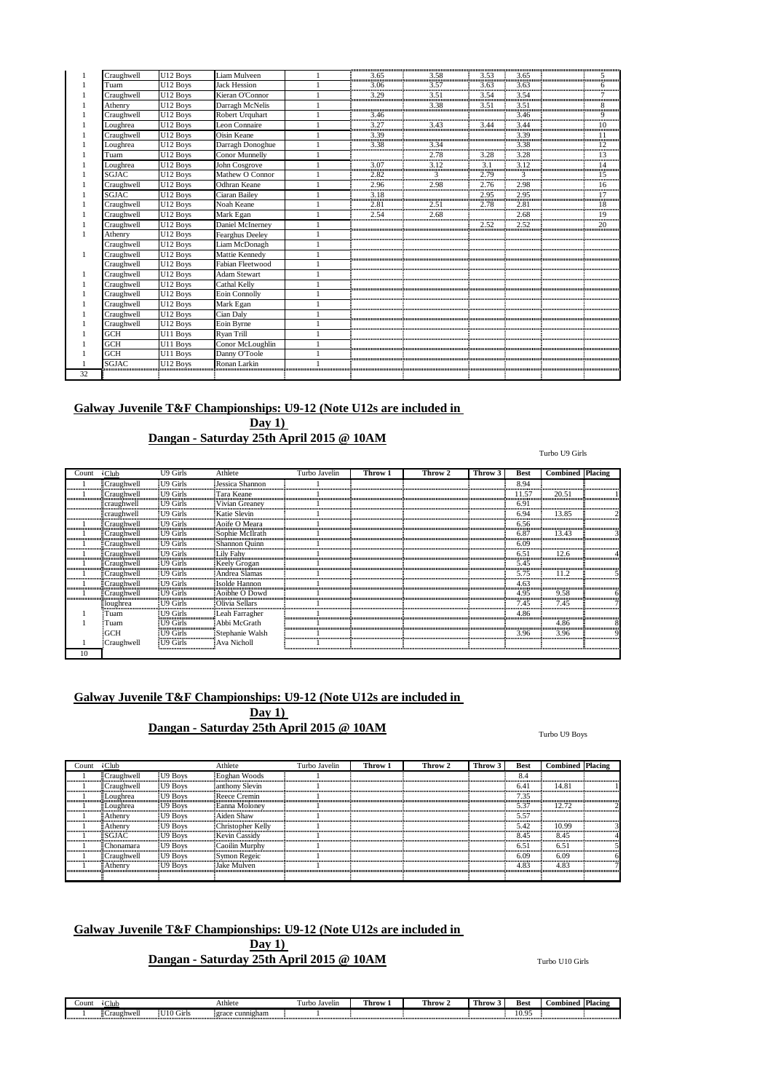|    | Craughwell   | U12 Boys | Liam Mulveen        |      | $\frac{1}{2}$ 3.65 $\frac{1}{2}$ 3.58 $\frac{1}{2}$ 3.53 $\frac{1}{2}$ 3.65 $\frac{1}{2}$ 3.65 $\frac{1}{2}$ 5                                                                                                                                                                       |      |      |    |
|----|--------------|----------|---------------------|------|--------------------------------------------------------------------------------------------------------------------------------------------------------------------------------------------------------------------------------------------------------------------------------------|------|------|----|
|    | Tuam         | U12 Boys | <b>Jack Hession</b> |      |                                                                                                                                                                                                                                                                                      |      |      |    |
|    | Craughwell   | U12 Boys | Kieran O'Connor     |      |                                                                                                                                                                                                                                                                                      |      |      |    |
|    | Athenry      | U12 Boys | Darragh McNelis     |      | $\begin{bmatrix} 3.38 \\ -1 \end{bmatrix}$                                                                                                                                                                                                                                           | 3.51 | 3.51 |    |
|    | Craughwell   | U12 Boys | Robert Urquhart     |      |                                                                                                                                                                                                                                                                                      |      |      |    |
|    | Loughrea     | U12 Boys | Leon Connaire       |      | $\begin{tabular}{ c c c c c c c c c c } \hline & $\cdots$ & $\cdots$ & $\cdots$ & $\cdots$ & $\cdots$ \\ \hline\hline 3,46 & & 3.46 & & 3.46 & & 9 \\ \hline \hline 3,27 & & 3.43 & & 3.44 & & 3.44 & & 10 \\ \hline \hline 3,39 & & 3.34 & & 3.38 & & & 11 \\ \hline \end{tabular}$ |      |      |    |
|    | Craughwell   | U12 Boys | Oisin Keane         |      |                                                                                                                                                                                                                                                                                      |      |      |    |
|    | Loughrea     | U12 Boys | Darragh Donoghue    |      |                                                                                                                                                                                                                                                                                      |      |      |    |
|    | Tuam         | U12 Boys | Conor Munnelly      |      | 2.78                                                                                                                                                                                                                                                                                 | 3.28 | 3.28 | 13 |
|    | Loughrea     | U12 Boys | John Cosgrove       |      |                                                                                                                                                                                                                                                                                      |      |      |    |
|    | <b>SGJAC</b> | U12 Boys | Mathew O Connor     |      |                                                                                                                                                                                                                                                                                      |      |      |    |
|    | Craughwell   | U12 Boys | Odhran Keane        |      | $\begin{tabular}{ c c c c c c c c c c c } \hline & 2.82 & 3 & 2.79 & 3 & 15 \\ \hline & 2.96 & 2.98 & 2.76 & 2.98 & 16 \\ \hline & 3.18 & 2.95 & 2.95 & 2.95 & 17 \\ \hline & 2.81 & 2.51 & 2.78 & 2.81 & 18 \\ \hline \end{tabular}$                                                |      |      |    |
|    | <b>SGJAC</b> | U12 Boys | Ciaran Bailey       |      |                                                                                                                                                                                                                                                                                      |      |      |    |
|    | Craughwell   | U12 Boys | Noah Keane          |      |                                                                                                                                                                                                                                                                                      |      |      |    |
|    | Craughwell   | U12 Boys | Mark Egan           | 2.54 |                                                                                                                                                                                                                                                                                      |      |      |    |
|    | Craughwell   | U12 Boys | Daniel McInerney    |      |                                                                                                                                                                                                                                                                                      | 2.52 | 2.52 | 20 |
|    | Athenry      | U12 Boys | Fearghus Deeley     |      |                                                                                                                                                                                                                                                                                      |      |      |    |
|    | Craughwell   | U12 Boys | Liam McDonagh       |      |                                                                                                                                                                                                                                                                                      |      |      |    |
|    | Craughwell   | U12 Boys | Mattie Kennedy      |      |                                                                                                                                                                                                                                                                                      |      |      |    |
|    | Craughwell   | U12 Boys | Fabian Fleetwood    |      |                                                                                                                                                                                                                                                                                      |      |      |    |
|    | Craughwell   | U12 Boys | <b>Adam Stewart</b> |      |                                                                                                                                                                                                                                                                                      |      |      |    |
|    | Craughwell   | U12 Boys | Cathal Kelly        |      |                                                                                                                                                                                                                                                                                      |      |      |    |
|    | Craughwell   | U12 Boys | Eoin Connolly       |      |                                                                                                                                                                                                                                                                                      |      |      |    |
|    | Craughwell   | U12 Boys | Mark Egan           |      |                                                                                                                                                                                                                                                                                      |      |      |    |
|    | Craughwell   | U12 Boys | Cian Daly           |      |                                                                                                                                                                                                                                                                                      |      |      |    |
|    | Craughwell   | U12 Boys | Eoin Byrne          |      |                                                                                                                                                                                                                                                                                      |      |      |    |
|    | <b>GCH</b>   | U11 Boys | Ryan Trill          |      |                                                                                                                                                                                                                                                                                      |      |      |    |
|    | <b>GCH</b>   | U11 Boys | Conor McLoughlin    |      |                                                                                                                                                                                                                                                                                      |      |      |    |
|    | <b>GCH</b>   | U11 Boys | Danny O'Toole       |      |                                                                                                                                                                                                                                                                                      |      |      |    |
|    | <b>SGJAC</b> | U12 Boys | Ronan Larkin        |      |                                                                                                                                                                                                                                                                                      |      |      |    |
| 32 |              |          |                     |      |                                                                                                                                                                                                                                                                                      |      |      |    |

**Day 1) Dangan - Saturday 25th April 2015 @ 10AM**

Turbo U9 Girls

| Count              | <b>Club</b>         | U9 Girls                | Athlete         | Turbo Javelin | Throw 1 | Throw 2 | Throw 3 | <b>Best</b> | <b>Combined Placing</b> |  |
|--------------------|---------------------|-------------------------|-----------------|---------------|---------|---------|---------|-------------|-------------------------|--|
|                    | ECraughwell         | U9 Girls                | Jessica Shannon |               |         |         |         | 8.94        |                         |  |
| ,,,,,,,,,,,,,,,,,, | Craughwell          | U9 Girls                | Tara Keane      |               |         |         |         | 11.57       | 20.51                   |  |
|                    | craughwell          | U9 Girls                | Vivian Greaney  |               |         |         |         | 6.9         |                         |  |
|                    | craughwell          | U9 Girls                | Katie Slevin    |               |         |         |         | 6.94        | 13.85                   |  |
|                    | ≣Craughwell         | U9 Girls                | Aoife O Meara   |               |         |         |         | 6.56        |                         |  |
| huunnummuun        | <b>Craughwell</b>   | U9 Girls                | Sophie McIlrath |               |         |         |         | 6.87        | 13.43                   |  |
| 10000000000000     | Craughwell          | U9 Girls                | Shannon Quinn   |               |         |         |         | 6.09        |                         |  |
|                    | ≣Craughwell         | U9 Girls                | Lily Fahy       |               |         |         |         | 6.5         | 12.6                    |  |
|                    | <b>E</b> Craughwell | U9 Girls                | Keely Grogan    |               |         |         |         | 5.45        |                         |  |
|                    | ∏Craughwell         | U9 Girls                | Andrea Slamas   |               |         |         |         | 5.75        |                         |  |
|                    | <b>ECraughwell</b>  | U9 Girls                | Isolde Hannon   |               |         |         |         | 4.63<br>    |                         |  |
|                    | Craughwell          | U9 Girls                | Aoibhe O Dowd   |               |         |         |         | 4.95        | 9.58                    |  |
|                    | : loughrea          | U9 Girls                | Olivia Sellars  |               |         |         |         | 7.45        | 7.45                    |  |
|                    | Tuam                | U9 Girls<br>!<br>ասասած | Leah Farragher  |               |         |         |         | 4.86        |                         |  |
|                    | Tuam                | U9 Girls<br><br>umumur  | Abbi McGrath    |               |         |         |         |             | 4.86                    |  |
|                    | <b>GCH</b>          | U9 Girls<br>ասասան      | Stephanie Walsh |               |         |         |         | 3.96        | 3.96                    |  |
|                    | Craughwell          | U9 Girls                | Ava Nicholl     |               |         |         |         |             |                         |  |
| 10                 |                     |                         |                 |               |         |         |         |             |                         |  |

## **Galway Juvenile T&F Championships: U9-12 (Note U12s are included in**

**Day 1)**

# **Dangan - Saturday 25th April 2015 @ 10AM**

### Turbo U9 Boys

| Count | $\cdot$ Club      |                  | Athlete             | Turbo Javelin | Throw 1 | Throw 2 | Throw 3 | <b>Best</b> | <b>Combined</b> Placing |  |
|-------|-------------------|------------------|---------------------|---------------|---------|---------|---------|-------------|-------------------------|--|
|       | <b>Craughwell</b> | U9 Boys          | Eoghan Woods        |               |         |         |         | 8.4         |                         |  |
|       | <b>Craughwell</b> | <b>II9 Boys</b>  | anthony Slevin      |               |         |         |         | 6.41        | 14.81                   |  |
|       | <b>Loughrea</b>   | <b>III9 Boys</b> | <b>Reece Cremin</b> |               |         |         |         | 7.35        |                         |  |
|       | ≣Loughrea         | <b>II9 Boys</b>  | Eanna Moloney       |               |         |         |         | 5.37        | 12.72                   |  |
|       | $\exists$ Athenry | <b>IU9 Boys</b>  | Aiden Shaw          |               |         |         |         | 5.57        |                         |  |
|       | $\exists$ Athenry | <b>II</b> 9 Boys | Christopher Kelly   |               |         |         |         | 5.42        | 10.99                   |  |
|       | ESGJAC            | U9 Boys          | Kevin Cassidy       |               |         |         |         | 8.45        | 8.45                    |  |
|       | EChonamara        | <b>EU9 Boys</b>  | Caoilin Murphy      |               |         |         |         | 6.5         | 6.51                    |  |
|       | ECraughwell       | <b>IU9 Boys</b>  | Symon Regeic        |               |         |         |         | 6.09        | 6.09                    |  |
|       | <b>EAthenry</b>   | U9 Boys          | <b>Jake Mulven</b>  |               |         |         |         | 4.83        | 4.83                    |  |
|       |                   |                  |                     |               |         |         |         |             |                         |  |

## **Galway Juvenile T&F Championships: U9-12 (Note U12s are included in**

### **Day 1) Dangan - Saturday 25th April 2015 @ 10AM**

Turbo U10 Girls

| Count | $-10$      |                 | Athlete             | .urb<br>Javelin | <b>CONTRACTOR</b><br>l hrow | <b>CONTRACT</b><br>Throw | <b>CONTRACTOR</b><br>l hrow | Best           | <b>Combined</b> | <b>Placing</b> |
|-------|------------|-----------------|---------------------|-----------------|-----------------------------|--------------------------|-----------------------------|----------------|-----------------|----------------|
|       | Craughwell | $\sim$<br>Girls | cunnigham<br>21 a.C |                 |                             |                          |                             | یہ ۱۵<br>19.2. |                 |                |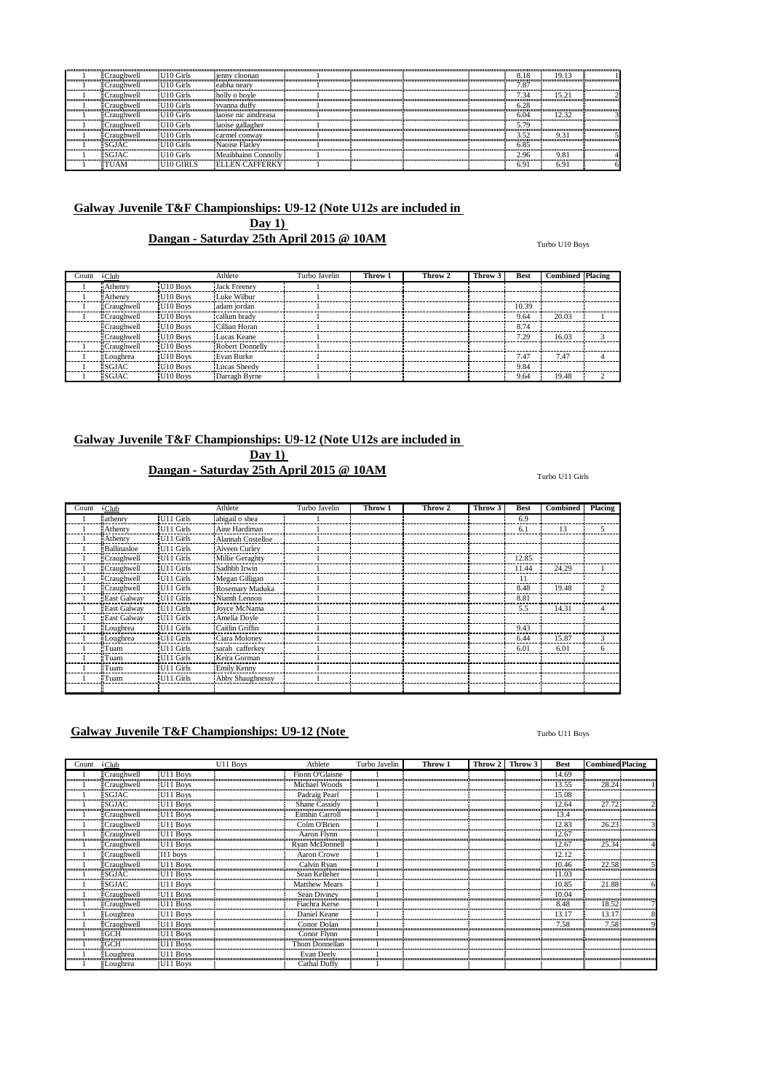| ≣Craughwell                   | U10 Girls             | ienny cloonan          |  |  | 8.18 | 19.13 |  |
|-------------------------------|-----------------------|------------------------|--|--|------|-------|--|
| ECraughwell                   | U <sub>10</sub> Girls | eabha nearv            |  |  | 1.87 |       |  |
| ≣Craughwell                   | U10 Girls             | holly o boyle          |  |  | .34  | 15.21 |  |
| <b>ECraughwell</b>            | U10 Girls             | vvanna duffy           |  |  | 6.28 |       |  |
| $\exists$ Craughwell          | UIO Girls             | laoise nic aindreasa   |  |  | 6.04 | 12.32 |  |
| <b>ECraughwell</b>            | U10 Girls             | laoise gallagher       |  |  | 579  |       |  |
| ≣Craughwell                   | U10 Girls             | Ecarmel conway         |  |  | 3.52 | 9.31  |  |
| $\overline{\mathbb{E}}$ SGJAC | $U10$ Girls           | Naoise Flatley         |  |  | 6.85 |       |  |
| ESGJAC                        | U10 Girls             | Meaibhainn Connolly    |  |  | 2.96 | 9.81  |  |
| $\exists$ TUAM                | U10 GIRLS             | <b>ELLEN CAFFERKY!</b> |  |  | 6.9  | 6.91  |  |

**Dangan - Saturday 25th April 2015 @ 10AM**

Turbo U10 Boys

| Count | <b>Club</b>       |                      | Athlete             | Turbo Javelin | Throw 1 | Throw 2 | Throw 3 | Best  | <b>Combined Placing</b> |  |
|-------|-------------------|----------------------|---------------------|---------------|---------|---------|---------|-------|-------------------------|--|
|       | <b>Athenry</b>    | U10 Boys             | <b>Jack Freenev</b> |               |         |         |         |       |                         |  |
|       | Athenry           | U10 Boys             | Luke Wilbur         |               |         |         |         |       |                         |  |
|       | <b>Craughwell</b> | U <sub>10</sub> Boys | adam jordan         |               |         |         |         | 10.39 |                         |  |
|       | <b>Craughwell</b> | U <sub>10</sub> Boys | callum brady        |               |         |         |         | 9.64  | 20.03                   |  |
|       | <b>Craughwell</b> | U <sub>10</sub> Boys | Cillian Horan       |               |         |         |         | 8.74  |                         |  |
|       | <b>Craughwell</b> | U10 Boys             | Lucas Keane         |               |         |         |         | 7.29  | 16.03                   |  |
|       | Craughwell        | U10 Boys             | Robert Donnelly     |               |         |         |         |       |                         |  |
|       | Loughrea          | U <sub>10</sub> Boys | Evan Burke          |               |         |         |         | 7.47  | 7.47                    |  |
|       | <b>ISGJAC</b>     | U <sub>10</sub> Boys | Lucas Sheedy        |               |         |         |         | 9.84  |                         |  |
|       | <b>SGJAC</b>      | U <sub>10</sub> Boys | Darragh Byrne       |               |         |         |         | 9.64  | 19.48                   |  |

# **Galway Juvenile T&F Championships: U9-12 (Note U12s are included in**

**Day 1) Dangan - Saturday 25th April 2015 @ 10AM**

| Count | $\cdot$ Club       |                       | Athlete                 | Turbo Javelin | Throw 1 | Throw 2 | Throw 3 | Best  | <b>Combined</b> | Placing       |
|-------|--------------------|-----------------------|-------------------------|---------------|---------|---------|---------|-------|-----------------|---------------|
|       | lathenry           | U <sub>11</sub> Girls | abigail o shea          |               |         |         |         | 6.9   |                 |               |
|       | <b>Athenry</b>     | U11 Girls             | Aine Hardiman           |               |         |         |         | 6.1   | 13              | 5             |
|       | <b>Athenry</b>     | U11 Girls             | Alannah Costelloe       |               |         |         |         |       |                 |               |
|       | <b>Ballinasloe</b> | U11 Girls             | Aiveen Curley           |               |         |         |         |       |                 |               |
|       | Craughwell         | U <sub>11</sub> Girls | Millie Geraghty         |               |         |         |         | 12.85 |                 |               |
|       | <b>Craughwell</b>  | U <sub>11</sub> Girls | Sadhbh Irwin            |               |         |         |         | 11.44 | 24.29           |               |
|       | <b>Craughwell</b>  | U11 Girls             | Megan Gilligan          |               |         |         |         | 11    |                 |               |
|       | Craughwell         | U11 Girls             | Rosemary Maduka         |               |         |         |         | 8.48  | 19.48           | $\mathcal{P}$ |
|       | East Galway        | U11 Girls             | Niamh Lennon            |               |         |         |         | 8.81  |                 |               |
|       | East Galway        | U <sub>11</sub> Girls | Joyce McNama            |               |         |         |         | 5.5   | 14.31           | 4             |
|       | <b>East Galway</b> | U11 Girls             | Amelia Dovle            |               |         |         |         |       |                 |               |
|       | Loughrea           | U11 Girls             | Caitlin Griffin         |               |         |         |         | 9.43  |                 |               |
|       | Loughrea           | U11 Girls             | Ciara Moloney           |               |         |         |         | 6.44  | 15.87           | 3             |
|       | l Tuam             | U11 Girls             | sarah cafferkey         |               |         |         |         | 6.01  | 6.01            | 6             |
|       | <sup>1</sup> Tuam  | U11 Girls             | Keira Gorman            |               |         |         |         |       |                 |               |
|       | <sup>1</sup> Tuam  | U11 Girls             | Emily Kenny             |               |         |         |         |       |                 |               |
|       | <b>Tuam</b>        | U11 Girls             | <b>Abby Shaughnessy</b> |               |         |         |         |       |                 |               |
|       |                    |                       |                         |               |         |         |         |       |                 |               |

## **Galway Juvenile T&F Championships: U9-12 (Note**

#### Turbo U11 Boys

| Count | $\sqrt{\text{Club}}$ |                      | U11 Boys | Athlete              | Turbo Javelin | Throw 1 | Throw 2 | Throw 3 | <b>Best</b> | <b>Combined Placing</b> |  |
|-------|----------------------|----------------------|----------|----------------------|---------------|---------|---------|---------|-------------|-------------------------|--|
|       | Craughwell           | U11 Boys             |          | Fionn O'Glaisne      |               |         |         |         | 14.69       |                         |  |
|       | Craughwell           | U11 Boys             |          | Michael Woods        |               |         |         |         | 13.55       | 28.24                   |  |
|       | $ESGJAC$             | U11 Boys             |          | Padraig Pearl        |               |         |         |         | 15.08       |                         |  |
|       | SGIAC                | U11 Boys             |          | Shane Cassidy        |               |         |         |         | 12.64       | 27.72                   |  |
|       | Craughwell           | U <sub>11</sub> Boys |          | Eimhin Carroll       |               |         |         |         | 13.4        |                         |  |
|       | Craughwell           | U11 Boys             |          | Colm O'Brien         |               |         |         |         | 12.83       | 26.23                   |  |
|       | <b>Craughwell</b>    | U11 Boys             |          | Aaron Flynn          |               |         |         |         | 12.67       |                         |  |
|       | Craughwell           | U11 Boys             |          | Ryan McDonnell       |               |         |         |         | 12.67       | 25.34                   |  |
|       | Craughwell           | I11 boys             |          | Aaron Crowe          |               |         |         |         | 12.12       |                         |  |
|       | Craughwell           | U11 Boys             |          | Calvin Ryan          |               |         |         |         | 10.46       | 22.58                   |  |
|       | SGIAC                | U11 Boys             |          | Sean Kelleher        |               |         |         |         | 11.03       |                         |  |
|       | SGIAC                | U11 Boys             |          | <b>Matthew Mears</b> |               |         |         |         | 10.85       | 21.88                   |  |
|       | Craughwell           | U11 Boys             |          | Seán Diviney         |               |         |         |         | 10.04       |                         |  |
|       | Craughwell           | U11 Boys             |          | Fiachra Kerse        |               |         |         |         | 8.48        | 18.52                   |  |
|       | Loughrea             | U11 Boys             |          | Daniel Keane         |               |         |         |         | 13.17       | 13.17                   |  |
|       | Craughwell           | U11 Boys             |          | Conor Dolan          |               |         |         |         | 7.58        | 7.58                    |  |
|       | ≣GCH                 | U <sub>11</sub> Boys |          | Conor Flynn          |               |         |         |         |             |                         |  |
|       | ≣GCH                 | U11 Boys             |          | Thom Donnellan       |               |         |         |         |             |                         |  |
|       | Loughrea             | U11 Boys             |          | Evan Deely           |               |         |         |         |             |                         |  |
|       | Loughrea             | U11 Boys             |          | Cathal Duffy         |               |         |         |         |             |                         |  |

#### Turbo U11 Girls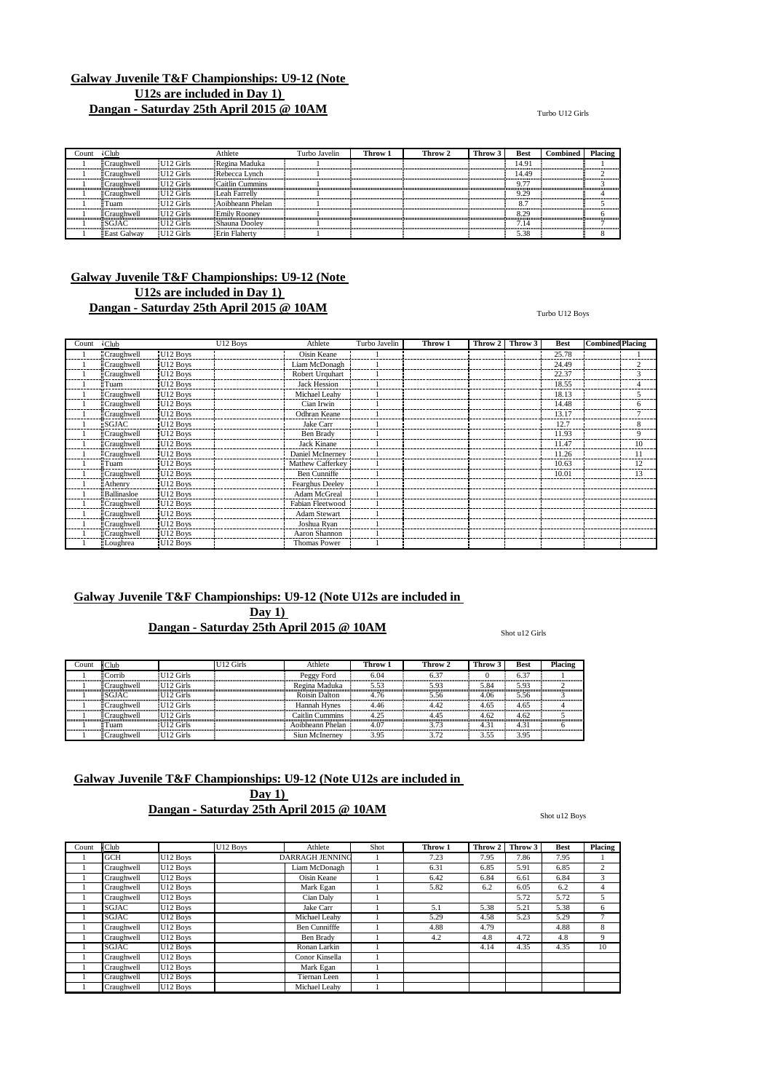#### $\frac{C_{\text{Lub}}}{\frac{1}{2}} \text{Craughwell} \quad [U12 \text{ Girls} \quad \text{i} \text{Regina Maduka} \quad 1 \quad 1 \quad 2 \quad 1 \quad 3 \quad 4.91 \quad 14.91 \quad 1 \quad 1 \quad 1 \quad 2 \quad 3 \quad 4.91 \quad 1 \quad 4.91 \quad 1 \quad 3 \quad 4.91 \quad 1 \quad 3 \quad 4.91 \quad 1 \quad 3 \quad 4.91 \quad 1 \quad 3 \quad 4.91 \quad 1 \quad 3 \quad 4.91 \quad 1 \quad 3 \quad 4.91 \quad$  Craughwell U12 Girls Regina Maduka 1 14.91 1 Craughwell U12 Girls Rebecca Lynch 1 14.49 2 Craughwell U12 Girls Caitlin Cummins 1 9.77 3 Craughwell U12 Girls Leah Farrelly 1 9.29 4 Tuam U12 Girls Aoibheann Phelan 1 8.7 5 Craughwell U12 Girls Emily Rooney 1 8.29 6  $\frac{1}{2}$  Exist Galway  $\frac{1}{2}$  U12 Girls Shauna Dooley 1 7.14  $\frac{1}{2}$  7.14  $\frac{1}{2}$  7.14  $\frac{1}{2}$  7.14  $\frac{1}{2}$  7.38 1 East Galway U12 Girls Erin Flaherty | 1 | | | | | | | | 5.38 | | | 8 | |

## **Galway Juvenile T&F Championships: U9-12 (Note U12s are included in Day 1) Dangan - Saturday 25th April 2015 @ 10AM**

Turbo U12 Boys

| Count | $\cdot$ Club       |                      | U12 Boys | Athlete             | Turbo Javelin | Throw 1 | Throw 2 | Throw 3 | <b>Best</b> | <b>Combined</b> Placing |    |
|-------|--------------------|----------------------|----------|---------------------|---------------|---------|---------|---------|-------------|-------------------------|----|
|       | Craughwell         | U12 Boys             |          | Oisin Keane         |               |         |         |         | 25.78       |                         |    |
|       | Craughwell         | U12 Boys             |          | Liam McDonagh       |               |         |         |         | 24.49       |                         |    |
|       | <b>Craughwell</b>  | U12 Boys             |          | Robert Urquhart     |               |         |         |         | 22.37       |                         |    |
|       | <b>Tuam</b>        | U12 Boys             |          | <b>Jack Hession</b> |               |         |         |         | 18.55       |                         |    |
|       | <b>Craughwell</b>  | U12 Boys             |          | Michael Leahy       |               |         |         |         | 18.13       |                         |    |
|       | <b>Craughwell</b>  | U12 Boys             |          | Cian Irwin          |               |         |         |         | 14.48       |                         | h  |
|       | <b>Craughwell</b>  | U12 Boys             |          | Odhran Keane        |               |         |         |         | 13.17       |                         |    |
|       | <b>SGJAC</b>       | U12 Boys             |          | Jake Carr           |               |         |         |         | 12.7        |                         | 8  |
|       | :Craughwell        | U12 Boys             |          | Ben Brady           |               |         |         |         | 11.93       |                         | 9  |
|       | <b>Craughwell</b>  | U <sub>12</sub> Boys |          | Jack Kinane         |               |         |         |         | 11.47       |                         | 10 |
|       | <b>Craughwell</b>  | U <sub>12</sub> Boys |          | Daniel McInerney    |               |         |         |         | 11.26       |                         |    |
|       | <b>Tuam</b>        | U <sub>12</sub> Boys |          | Mathew Cafferkey    |               |         |         |         | 10.63       |                         | 12 |
|       | Craughwell         | U <sub>12</sub> Boys |          | Ben Cunniffe        |               |         |         |         | 10.01       |                         | 13 |
|       | <b>Athenry</b>     | U12 Boys             |          | Fearghus Deeley     |               |         |         |         |             |                         |    |
|       | <b>Ballinasloe</b> | U <sub>12</sub> Boys |          | Adam McGreal        |               |         |         |         |             |                         |    |
|       | <b>Craughwell</b>  | U <sub>12</sub> Boys |          | Fabian Fleetwood    |               |         |         |         |             |                         |    |
|       | Craughwell         | U12 Boys             |          | <b>Adam Stewart</b> |               |         |         |         |             |                         |    |
|       | Craughwell         | U12 Boys             |          | Joshua Ryan         |               |         |         |         |             |                         |    |
|       | Craughwell         | U <sub>12</sub> Boys |          | Aaron Shannon       |               |         |         |         |             |                         |    |
|       | Loughrea           | U <sub>12</sub> Boys |          | Thomas Power        |               |         |         |         |             |                         |    |

## **Galway Juvenile T&F Championships: U9-12 (Note U12s are included in Day 1) Dangan - Saturday 25th April 2015 @ 10AM**

Shot u12 Girls

| .ount | Club                 |                   | J12 Girls | Athlete          | Throw 1 | Throw 2 | <b>Throw</b> | Best | Placing |
|-------|----------------------|-------------------|-----------|------------------|---------|---------|--------------|------|---------|
|       | $\mathsf{ECorrib}$   | <b>II12 Girls</b> |           | Peggy Ford       | 6.04    |         |              | 6.37 |         |
|       | ≣Craughwell          | U12 Girls         |           | Regina Maduka    | 5.53    | 5.93    | 5.84         | 5.93 |         |
|       | ESGJAC               | <b>II12 Girls</b> |           | Roisin Dalton    | 4 76    | 5.56    | 4.06         | 5.56 |         |
|       | ECraughwell          | II12 Girls        |           | Hannah Hynes     | 4.46    | 42      | 4.65         | 4.65 |         |
|       | $\exists$ Craughwell | <b>II12 Girls</b> |           | Caitlin Cummins  | 1.25    |         | 4.62         | 4.62 |         |
|       | $\mathsf{F}$ Tuam    | II12 Girls        |           | Aoibheann Phelan | 4.07    |         | 4.3.         | 4.31 |         |
|       | ECraughwell          | U12 Girls         |           | Siun McInerney   | 3.95    | 3.72    | 3.55         | 3.95 |         |

## **Galway Juvenile T&F Championships: U9-12 (Note U12s are included in**

**Day 1) Dangan - Saturday 25th April 2015 @ 10AM**

Shot u12 Boys

| Count | <b>Club</b>  |                      | $\overline{U12}$ Boys | Athlete                | Shot | Throw 1 | Throw 2 | Throw 3 | <b>Best</b> | <b>Placing</b> |
|-------|--------------|----------------------|-----------------------|------------------------|------|---------|---------|---------|-------------|----------------|
|       | <b>GCH</b>   | U12 Boys             |                       | <b>DARRAGH JENNING</b> |      | 7.23    | 7.95    | 7.86    | 7.95        |                |
|       | Craughwell   | U12 Boys             |                       | Liam McDonagh          |      | 6.31    | 6.85    | 5.91    | 6.85        | $\overline{c}$ |
|       | Craughwell   | U12 Boys             |                       | Oisin Keane            |      | 6.42    | 6.84    | 6.61    | 6.84        | 3              |
|       | Craughwell   | U12 Boys             |                       | Mark Egan              |      | 5.82    | 6.2     | 6.05    | 6.2         | 4              |
|       | Craughwell   | U <sub>12</sub> Boys |                       | Cian Dalv              |      |         |         | 5.72    | 5.72        | 5              |
|       | <b>SGJAC</b> | U12 Boys             |                       | Jake Carr              |      | 5.1     | 5.38    | 5.21    | 5.38        | 6              |
|       | <b>SGJAC</b> | U <sub>12</sub> Boys |                       | Michael Leahy          |      | 5.29    | 4.58    | 5.23    | 5.29        | ÷              |
|       | Craughwell   | U12 Boys             |                       | <b>Ben Cunnifffe</b>   |      | 4.88    | 4.79    |         | 4.88        | 8              |
|       | Craughwell   | U <sub>12</sub> Boys |                       | Ben Brady              |      | 4.2     | 4.8     | 4.72    | 4.8         | 9              |
|       | <b>SGJAC</b> | U12 Boys             |                       | Ronan Larkin           |      |         | 4.14    | 4.35    | 4.35        | 10             |
|       | Craughwell   | U <sub>12</sub> Boys |                       | Conor Kinsella         |      |         |         |         |             |                |
|       | Craughwell   | U <sub>12</sub> Boys |                       | Mark Egan              |      |         |         |         |             |                |
|       | Craughwell   | U <sub>12</sub> Boys |                       | Tiernan Leen           |      |         |         |         |             |                |
|       | Craughwell   | U12 Boys             |                       | Michael Leahy          |      |         |         |         |             |                |

#### Turbo U12 Girls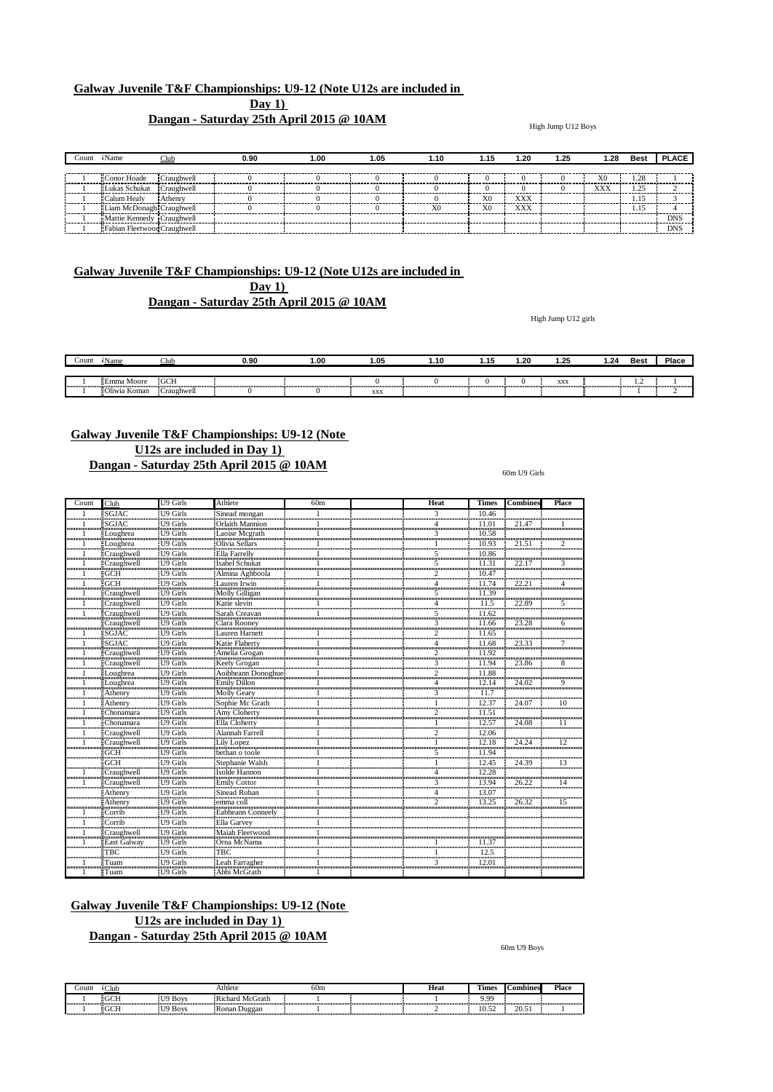## **Dangan - Saturday 25th April 2015 @ 10AM**

High Jump U12 Boys

| :oun        | Name                        |            | 0.90 | 1.00 | 1.05 | .10 | 1.15           | 1.20 | 1.25 | 1.28 | Best   | <b>PLACE</b> |
|-------------|-----------------------------|------------|------|------|------|-----|----------------|------|------|------|--------|--------------|
|             |                             |            |      |      |      |     |                |      |      |      |        |              |
|             | Conor Hoade                 | Craughwell |      |      |      |     |                |      |      | X0   | 1.28   |              |
|             | "Lukas Schukat"             | Craughwell |      |      |      |     |                |      |      | XXX  | $\sim$ |              |
|             | Calum Healy                 | Athenry    |      |      |      |     | X <sub>0</sub> | XXX  |      |      |        |              |
|             | Liam McDonagh Craughwell    |            |      |      |      | vη  | X <sub>0</sub> | XXX  |      |      |        | ---------    |
| ----------- | Mattie Kennedy Craughwell   |            |      |      |      |     |                |      |      |      |        | <b>DNS</b>   |
|             | Fabian Fleetwood Craughwell |            |      |      |      |     |                |      |      |      |        | <b>DNS</b>   |

## **Galway Juvenile T&F Championships: U9-12 (Note U12s are included in Day 1) Dangan - Saturday 25th April 2015 @ 10AM**

High Jump U12 girls

| Count | Name                  | ub:        | 0.90 | 1.00 | 1.05 | .10 | . | . .20 | 1.25 | .24 | <b>Best</b> | Place |
|-------|-----------------------|------------|------|------|------|-----|---|-------|------|-----|-------------|-------|
|       | <i>doore</i><br>≣Emma | <b>GCH</b> |      |      |      |     |   |       | XX.  |     |             |       |
|       | Koman<br><b>ABW*</b>  | Craughwell |      |      | XXX  |     |   |       |      |     |             |       |

## **Galway Juvenile T&F Championships: U9-12 (Note U12s are included in Day 1) Dangan - Saturday 25th April 2015 @ 10AM**

60m U9 Girls

| Count            | Club                                                                                                           | <b>U9 Girls</b>                                   | Athlete                                               | 60 <sub>m</sub> | <b>Heat</b>                 | <b>Times</b>           | <b>Combines</b> | Place                     |
|------------------|----------------------------------------------------------------------------------------------------------------|---------------------------------------------------|-------------------------------------------------------|-----------------|-----------------------------|------------------------|-----------------|---------------------------|
|                  | SGJAC<br>@www.www.www.www.                                                                                     | U9 Girls<br>uğunmummummu                          | Sinead mongan                                         |                 | 3                           | 10.46<br>              |                 |                           |
|                  | SGJAC                                                                                                          | iU9 Girls                                         | <b>Orlaith Mannion</b>                                |                 |                             | 11.01                  | 214             |                           |
|                  | Loughrea                                                                                                       | <b>II9 Girls</b>                                  |                                                       |                 | 3                           | 10.58<br>              |                 |                           |
|                  | dinin manamang na kalendari na manamang na kalendari ng mga manamang na mga manamang na mga mga mga mga mga mg | ñmmmmmmm                                          |                                                       |                 |                             | 10.93                  |                 |                           |
|                  | ECraughwell                                                                                                    | <b>ID</b> Girls                                   | Ella Farrelly                                         |                 | 5                           | 10.86                  |                 |                           |
|                  | ECraughwell<br>աստամաստատ                                                                                      | U9 Girls<br>                                      | Isabel Schukat<br>,,,,,,,,,,,,,,,,,,,,,,,,,,,,,,      |                 | 5                           | 11.31                  | 22.1'           |                           |
|                  | GCH<br>                                                                                                        | U9 Girls<br>                                      | Almina Aghboola                                       |                 |                             | 10.47<br>              |                 |                           |
|                  | <b>GCH</b><br>                                                                                                 | U9 Girls                                          | Lauren Irwin<br>                                      |                 |                             | 11.74<br>,,,,,,,,,,,,, |                 |                           |
|                  | Craughwell                                                                                                     | U9 Girls                                          | Molly Gilligan                                        |                 |                             | 11.39                  |                 |                           |
|                  | Craughwell                                                                                                     | U9 Girls                                          | Katie slevin                                          |                 |                             | 11.5<br>               | 22.89           | 5                         |
|                  | Craughwell<br>                                                                                                 | U9 Girls                                          | Sarah Creavan                                         |                 |                             | 11.62<br>              |                 |                           |
|                  | Craughwell                                                                                                     | U9 Girls                                          | Clara Rooney<br>Lauren Harnett                        |                 |                             | 11.66<br>              | 23.28           |                           |
|                  | SGJAC                                                                                                          | U9 Girls                                          | ,,,,,,,,,,,,,,,,,,,,,,,,,,,,,,                        |                 |                             | 11.65                  |                 |                           |
|                  | SGJAC                                                                                                          | U9 Girls                                          | Katie Flaherty                                        |                 |                             | 11.68<br>              | 23.33           |                           |
|                  | Craughwell                                                                                                     | U9 Girls<br>                                      | Amelia Grogan                                         |                 |                             | 11.92<br>              |                 |                           |
|                  | Craughwell                                                                                                     | U9 Girls<br>                                      | Keely Grogan                                          |                 |                             | 11.94                  | 23.86           | 8                         |
|                  | Loughrea<br>ասամասատ                                                                                           | U9 Girls                                          | Aoibheann Donoghue<br>                                |                 |                             | 11.88<br>              |                 |                           |
|                  | Loughrea<br><del></del>                                                                                        | U9 Girls<br>                                      | Emily Dillon<br>                                      |                 |                             |                        | 24.02           | 9                         |
|                  | Athenry<br>ասասամա                                                                                             | U9 Girls<br>                                      | <b>Molly Geary</b>                                    |                 | 3                           |                        |                 |                           |
|                  | Athenry                                                                                                        | U9 Girls                                          | Sophie Mc Grath<br>ամասասասասասասաս                   |                 |                             |                        | 24 O            |                           |
|                  | Chonamara<br>                                                                                                  | <br>U9 Girls                                      | Amy Cloherty                                          |                 | ,,,,,,,,,,,,,,,,,,,,,,,,,,, |                        |                 |                           |
|                  |                                                                                                                | U9 Girls<br>                                      | montinomonomotinomonomotinomon<br>Ella Cloherty<br>   |                 |                             |                        | 24.08           |                           |
| ,,,,,,,,,,,,,,,, | Craughwell<br><u>DainmanAnananana</u>                                                                          | I <sub>19</sub> Girls<br><b>10000000000000000</b> | Alannah Farrell                                       |                 |                             |                        |                 | ,,,,,,,,,,,,,,,,,,,,,,,,, |
|                  | Craughwell<br>ասասան                                                                                           | U9 Girls<br>                                      | Lily Lopez                                            |                 |                             |                        | 24.24           |                           |
|                  | GCH                                                                                                            | U9 Girls                                          | bethan o toole                                        |                 | 5                           | 11.94                  |                 |                           |
|                  | <b>GCH</b><br>                                                                                                 | U9 Girls<br>,,,,,,,,,,,,,,,,,,,,                  | Stephanie Walsh                                       |                 |                             | 12.45<br>              | 24.39           | 13                        |
|                  | Craughwell                                                                                                     | U9 Girls                                          | Isolde Hannon                                         |                 |                             | 12.28<br>              |                 |                           |
|                  | Craughwell                                                                                                     | U9 Girls<br>                                      | Emily Cottor                                          |                 |                             | 13.94                  | 26.22           | 14                        |
|                  | Athenry                                                                                                        | U9 Girls<br>                                      | Sinead Rohan                                          |                 |                             | 13.07<br>              |                 |                           |
|                  | Athenry<br><b>Dommundundunun</b>                                                                               | U9 Girls<br><b>Announcement</b>                   | emma coll<br>0000000000000000000000000000000          |                 |                             | 13.25                  | 26.32           | 15                        |
|                  | Corrib<br>                                                                                                     | U9 Girls<br>                                      | Eabheann Conneelv                                     |                 |                             |                        |                 |                           |
|                  | Corrib U9 Girls                                                                                                |                                                   | Ella Garvey 1                                         |                 |                             |                        |                 |                           |
|                  | Craughwell<br><del></del>                                                                                      | U9 Girls                                          | Maiah Fleetwood<br>,,,,,,,,,,,,,,,,,,,,,,,,,,,,,,,,,, |                 |                             |                        |                 |                           |
|                  | East Galway                                                                                                    | U9 Girls<br>                                      | Orna McNama                                           |                 |                             | 11.37                  |                 |                           |
|                  | FBC.<br>                                                                                                       | U9 Girls!                                         | твс                                                   |                 |                             | 12.5                   |                 |                           |
|                  | l`uam                                                                                                          | <br>U9 Girls<br><b><u> Ammunumum</u></b>          | <br>.eah Farragher                                    |                 | 3<br>                       | <br>12.01<br>          |                 |                           |
|                  | <br>≣Tuam                                                                                                      | U9 Girls                                          | Abbi McGrath                                          |                 |                             |                        |                 |                           |

## **Galway Juvenile T&F Championships: U9-12 (Note U12s are included in Day 1)**

## **Dangan - Saturday 25th April 2015 @ 10AM**

60m U9 Boys

| .`ount | Club  |             | Athlete                | 60m | Heat | <b>COLL</b><br>imes | Combines        | Place |
|--------|-------|-------------|------------------------|-----|------|---------------------|-----------------|-------|
|        | 200T  | <b>Boys</b> | <b>Richard McGrath</b> |     |      | 0 0 0               |                 |       |
|        | $-01$ | <b>Boys</b> | ≣Ronan Duggan          |     |      | .v. JZ              | $\sim$<br>20.JI |       |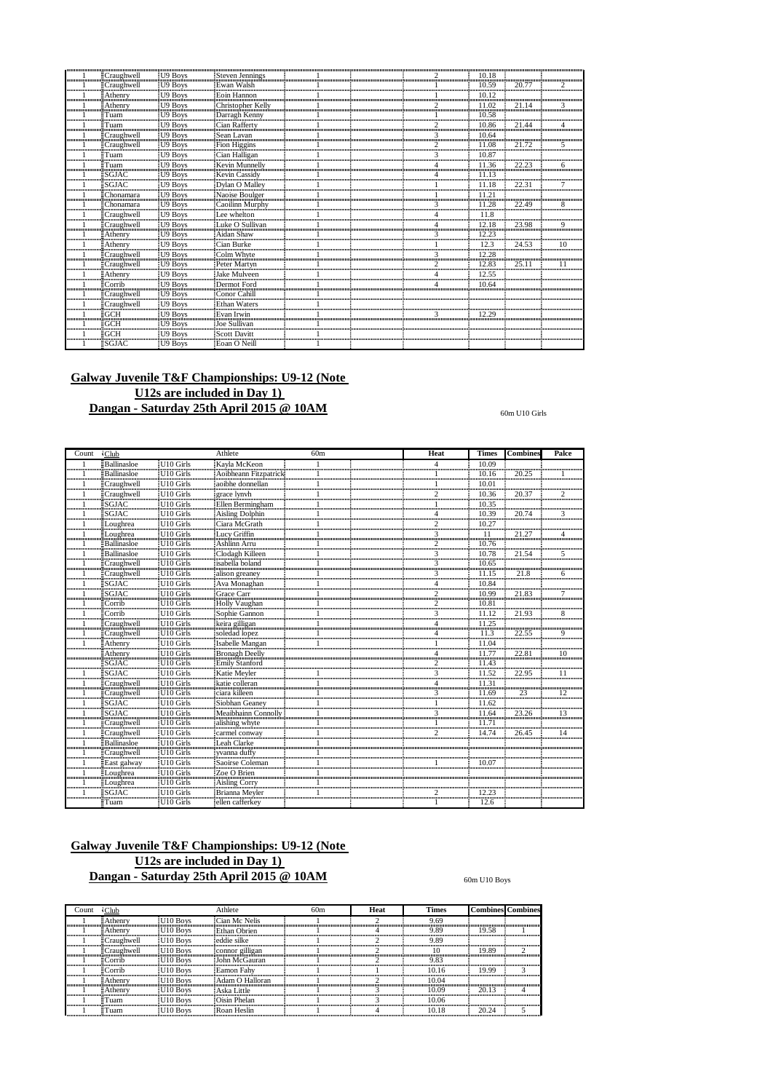|                         |                                             | U9 Boys                                                                                 | Steven Jennings                                                                                                                                                                                                                                    |  |   |          |       |  |
|-------------------------|---------------------------------------------|-----------------------------------------------------------------------------------------|----------------------------------------------------------------------------------------------------------------------------------------------------------------------------------------------------------------------------------------------------|--|---|----------|-------|--|
|                         | `raughwel                                   | <b>II9 Boys</b>                                                                         | Ewan Walsh                                                                                                                                                                                                                                         |  |   |          |       |  |
|                         |                                             |                                                                                         |                                                                                                                                                                                                                                                    |  |   |          |       |  |
| ,,,,,,,,,,,,,,,,,,,,,,  | Athenry                                     | $\frac{1}{2}$ Athenry $\frac{1}{2}$ U9 Boys $\frac{1}{2}$ Eom Hannon<br><b>II9 Boys</b> | Christopher Kellv                                                                                                                                                                                                                                  |  |   | $\Omega$ |       |  |
|                         | Tiam                                        | immumminimmummum<br>U9 Boys                                                             | យ៉ូលាំលាយបានលាក់បានបានបានបានបើសារយោងប្តីយោយបាន<br>Darragh Kenny                                                                                                                                                                                    |  |   | 0 58     |       |  |
|                         | monomumumumumumum<br>`uam                   | II9 Boys                                                                                | Cian Rafferty                                                                                                                                                                                                                                      |  |   | <br>0.86 |       |  |
|                         | Craughwell                                  | <b>II9 Boys</b>                                                                         | រ៉ូណាណាណាណាណាណាណាណាភ្ញុំបានបានចាប់ពីការអោយអាចអាចធ្វើការអោយអាចអាចអាចអាចធ្វើការអោយអាចអាច<br>Sean<br>avan                                                                                                                                             |  |   |          |       |  |
|                         | ∴raughwell                                  | <b>I</b> I9 Boys                                                                        | 00000000000000000000000000000000<br>Fion Higgins                                                                                                                                                                                                   |  |   | 1.08     |       |  |
|                         | <b>T</b> uam                                | I <sub>I9</sub> Boys                                                                    | Cian Halligan                                                                                                                                                                                                                                      |  |   |          |       |  |
|                         | <br>`uam                                    | U9 Boys                                                                                 | immummummum°innum<br>Kevin Munnelly                                                                                                                                                                                                                |  |   | .36      | າາ    |  |
| ,,,,,,,,,,,,,,,,,,,,    |                                             | :TIQ<br><b>Boys</b>                                                                     | Kevin Cassidv                                                                                                                                                                                                                                      |  |   |          |       |  |
|                         | ,,,,,,,,,,,,,,,,,,,,,,,,,,,,,,,,,,,<br>GJAC | <b>I</b> <sup>19</sup> Boys                                                             | Dvlan O Mallev                                                                                                                                                                                                                                     |  |   |          |       |  |
|                         | honamara                                    | monomummanon<br>:U9 Boys                                                                | ulundummummummundummumlummum<br>Naoise Boulger                                                                                                                                                                                                     |  |   |          |       |  |
|                         | Chonamara                                   | <b>II9 Boys</b>                                                                         | ដ្ឋិតកាតាកាតាកាតាកាតាកាតាកាតា ភ្នំពាក់កាតាកាតីកាតាកាតាកាតាកាតិកាតាកាតាកាតាកាតីកាត់កាតាកាតាក្នុងកាតា<br>Caoilinn Murphy                                                                                                                             |  |   | 1.28     | つつ    |  |
| ,,,,,,,,,,,,,,,,,,      | Craughwell                                  | $E[19$ Boys                                                                             | ]ការការការការការការការការការការពិភពលោកល័យការការការការការស្រីយ៍ដោយការការការការការការកែបរបែបសារយោង ប្រភពលោកអាយុយ<br>ee whelton.                                                                                                                      |  |   |          |       |  |
|                         | <br>Craughwell<br><del></del>               | U9 Boys                                                                                 | Sullivan                                                                                                                                                                                                                                           |  |   | 2.18     | 23.98 |  |
|                         | Athenrv                                     | U9 Boys                                                                                 | Aidan Shaw                                                                                                                                                                                                                                         |  |   | <br>2.23 |       |  |
|                         | Athenry                                     | <b>J9 Boys</b>                                                                          | uinna ann an an an am an an an an an an a<br>Cian Burke                                                                                                                                                                                            |  |   | 12.3     | 24.53 |  |
|                         | Craughwell                                  | <b>II9 Boys</b>                                                                         | :Colm Whyte                                                                                                                                                                                                                                        |  |   |          |       |  |
| ,,,,,,,,,,,,,,,,,,,,,,, | Craughwell                                  | U9 Boys                                                                                 | Peter Martyn                                                                                                                                                                                                                                       |  |   | 12.83    | 25.   |  |
| ,,,,,,,,,,,,,,,,,,,,,   | Athenry<br>immumundunummum                  |                                                                                         | Mulveen                                                                                                                                                                                                                                            |  |   | 2.55     |       |  |
|                         |                                             | I 19 Boys                                                                               | Dermot Ford                                                                                                                                                                                                                                        |  |   | 0.64     |       |  |
| ,,,,,,,,,,,,,,,,,,,,,,  |                                             |                                                                                         | $\frac{1}{2}$ Craughwell $\frac{1}{2}$ U9 Boys $\frac{1}{2}$ Conor Cahill <b>Conor Company and Conormany and Conormany and Conormany and Conormany and Conormany and Conormany and Conormany and Conormany and Conormany and Conormany and Con</b> |  |   |          |       |  |
|                         | Craughwell                                  | <b>II9 Boys</b><br>កិណ្ឌាណាណាណិណាណាណាណាណាណា                                             | Ethan Waters                                                                                                                                                                                                                                       |  |   |          |       |  |
|                         |                                             | I <sup>19</sup> Boys                                                                    | Evan Irwin                                                                                                                                                                                                                                         |  | 3 | 12.29    |       |  |
|                         |                                             | U9 Bovs                                                                                 | Joe Sullivan                                                                                                                                                                                                                                       |  |   |          |       |  |
|                         |                                             | <b>I</b> I9 Boys                                                                        | Scott Davitt                                                                                                                                                                                                                                       |  |   |          |       |  |
|                         | SGJAC                                       | <b>II9 Boys</b>                                                                         | Eoan O Neill                                                                                                                                                                                                                                       |  |   |          |       |  |

 $60\mathrm{m}$  U10 Girls

| Count | $\cdot$ Club                     |                                               | Athlete                                             | 60m | Heat        | <b>Times</b>           | <b>Combines</b> | Palce |
|-------|----------------------------------|-----------------------------------------------|-----------------------------------------------------|-----|-------------|------------------------|-----------------|-------|
|       | Ballinasloe                      | U <sub>10</sub> Girls                         | Kayla McKeon                                        |     |             | 10.09                  |                 |       |
|       | Ballinasloe                      | U10 Girls                                     | Aoibheann Fitzpatrick                               |     |             | 10.16                  | 20.25           |       |
|       | Craughwell                       | U <sub>10</sub> Girls                         | aoibhe donnellan                                    |     |             | 10.01                  |                 |       |
|       | Craughwell                       | U10 Girls                                     | grace lynyh                                         |     | 2           | 10.36                  | 20.37           |       |
|       | ≣SGJAC:                          | U <sub>10</sub> Girls                         | Ellen Bermingham                                    |     |             | 10.35                  |                 |       |
|       | <b>SGJAC</b>                     | U <sub>10</sub> Girls                         | Aisling Dolphin<br>Ciara McGrath<br>Lucy Griffin    |     |             | 10.39<br>              | 20.74           |       |
|       | Loughrea                         | U <sub>10</sub> Girls                         |                                                     |     |             | 10.27                  |                 |       |
|       | Loughrea                         | U <sub>10</sub> Girls                         |                                                     |     | 3           | 11<br>                 | 21              |       |
|       | Ballinasloe<br>                  | <br>U <sub>10</sub> Girls                     | Ashlinn Arru                                        |     |             | 10.76<br>              |                 |       |
|       | Ballinasloe                      | U <sub>10</sub> Girls                         | Clodagh Killeen                                     |     | 3           | 10.78                  | 21.54           | 5     |
|       | Craughwell                       | U10 Girls<br><b>Guimmannannann</b>            | isabella boland<br>,,,,,,,,,,,,,,,,,,,,,,,,,,,,,,,, |     |             | 10.65<br>              |                 |       |
|       | Craughwell                       | U <sub>10</sub> Girls                         | alison greaney                                      |     |             | $\frac{11.15}{10.84}$  | 21.8            | 6     |
|       | <b>SGJAC</b><br>                 | U <sub>10</sub> Girls<br>                     | Ava Monaghan                                        |     |             |                        |                 |       |
|       | <b>SGJAC</b>                     | U <sub>10</sub> Girls                         | Grace Carr                                          |     |             | 10.99                  | 21.83           |       |
|       | Corrib                           | U <sub>10</sub> Girls<br>                     | Holly Vaughan                                       |     |             | 10.81                  |                 |       |
|       | ECorrib                          | U <sub>10</sub> Girls<br>                     | Sophie Gannon                                       |     | 3           | 11.12                  | 21.93           | 8     |
|       | Craughwell                       | U <sub>10</sub> Girls                         | keira gilligan                                      |     |             | 11.25                  |                 |       |
|       | Craughwell                       | U <sub>10</sub> Girls                         | kena gangan<br>soledad lopez<br>Isabelle Mangan     |     |             | 11.3                   | 22.55           | 9     |
|       | Athenry                          | U <sub>10</sub> Girls                         |                                                     |     |             |                        |                 |       |
|       | Athenry                          | U <sub>10</sub> Girls<br>                     | Bronagh Deelly                                      |     |             | 11.77<br>,,,,,,,,,,,,, | 22.8            | 10    |
|       | <b>SGJAC</b><br>,,,,,,,,,,,,,,,, | U <sub>10</sub> Girls                         | Bronagh Deeny<br>Emily Stanford<br>Katie Meyler     |     |             | 11.43                  |                 |       |
|       | SGJAC                            | U10 Girls                                     |                                                     |     |             | $\frac{11.52}{ }$      | 22.95           |       |
|       | Craughwell                       | U <sub>10</sub> Girls                         | katie colleran                                      |     |             | <br>11.31              |                 |       |
|       | Craughwell                       | U <sub>10</sub> Girls                         | ciara killeen                                       |     |             | 11.69                  | 23              | 12    |
|       | SGJAC                            | U <sub>10</sub> Girls                         | iciala Kincen<br>Siobhan Geaney                     |     |             | 11.62                  |                 |       |
|       | SGJAC                            | U <sub>10</sub> Girls                         | Meaibhainn Connolly                                 |     |             | 11.64                  | 23.26           | 13    |
|       | Craughwell                       | U <sub>10</sub> Girls                         | alishing whyte                                      |     |             | 11 71                  |                 |       |
|       | ECraughwell                      | U <sub>10</sub> Girls                         | carmel conway                                       |     |             | 14.74                  | 26.45           | 14    |
|       | <b>Ballinasloe</b>               | U <sub>10</sub> Girls                         | Leah Clarke                                         |     |             |                        |                 |       |
|       | Craughwell                       | 0.000.000.000.000.00<br>U <sub>10</sub> Girls | yvanna duffy                                        |     |             |                        |                 |       |
|       | East galway                      | U <sub>10</sub> Girls                         | Saoirse Coleman                                     |     |             | 10.07                  |                 |       |
|       | տասամասասան<br>Loughrea          | U10 Girls<br>                                 | Zoe O Brien                                         |     |             |                        |                 |       |
|       | Loughrea                         | U10 Girls                                     | <b>Execute British</b><br>Aisling Corry             |     |             |                        |                 |       |
|       | <del></del><br><b>SGJAC</b><br>  | <br>U10 Girls                                 | Brianna Mevler                                      |     |             | 12.23                  |                 |       |
|       | $\exists$ Tuam                   | U10 Girls                                     | ellen cafferkey                                     |     | <del></del> | 12.6                   |                 |       |

## **Galway Juvenile T&F Championships: U9-12 (Note U12s are included in Day 1) Dangan - Saturday 25th April 2015 @ 10AM**

 $60\mathrm{m}$  U10 Boys

| `ount | Club                 |                                    | Athlete           | 60 <sub>m</sub> | Heat | <b>Times</b> | <b>Combines Combines</b> |  |
|-------|----------------------|------------------------------------|-------------------|-----------------|------|--------------|--------------------------|--|
|       | $\exists$ Athenry    | U <sub>10</sub> Boys               | Cian Mc Nelis     |                 |      | 9.69         |                          |  |
|       | $\exists$ Athenry    | II10 Boys                          | Ethan Obrien      |                 |      | 9.89         | 19.58                    |  |
|       | $\exists$ Craughwell | $ET10$ Boys                        | leddie silke      |                 |      | 9.89         |                          |  |
|       | $\exists$ Craughwell | $\frac{1}{2}$ U10 Boys             | connor gilligan   |                 |      |              | 19.89                    |  |
|       | $\equiv$ Corrib      | $H10$ Boys                         | John McGauran     |                 |      | 9.83         |                          |  |
|       | $\mathsf{ECorrib}$   | $H10$ Boys                         | <b>Eamon Fahy</b> |                 |      | 1016         | 19 99                    |  |
|       | $\exists$ Athenry    | <b>IIIO Boys</b>                   | Adam O Halloran   |                 |      | 10.04        |                          |  |
|       | $\exists$ Athenry    | $\pm 110$ Boys                     | : Aska Little     |                 |      | 10.09        | 20.13                    |  |
|       | ≢⊤սam                | $\frac{1}{2}$ U <sub>10</sub> Boys | Oisin Phelan      |                 |      | 10.06        |                          |  |
|       | $T$ uam              | U <sub>10</sub> Boys               | Roan Heslin       |                 |      | 10.18        | 20.24                    |  |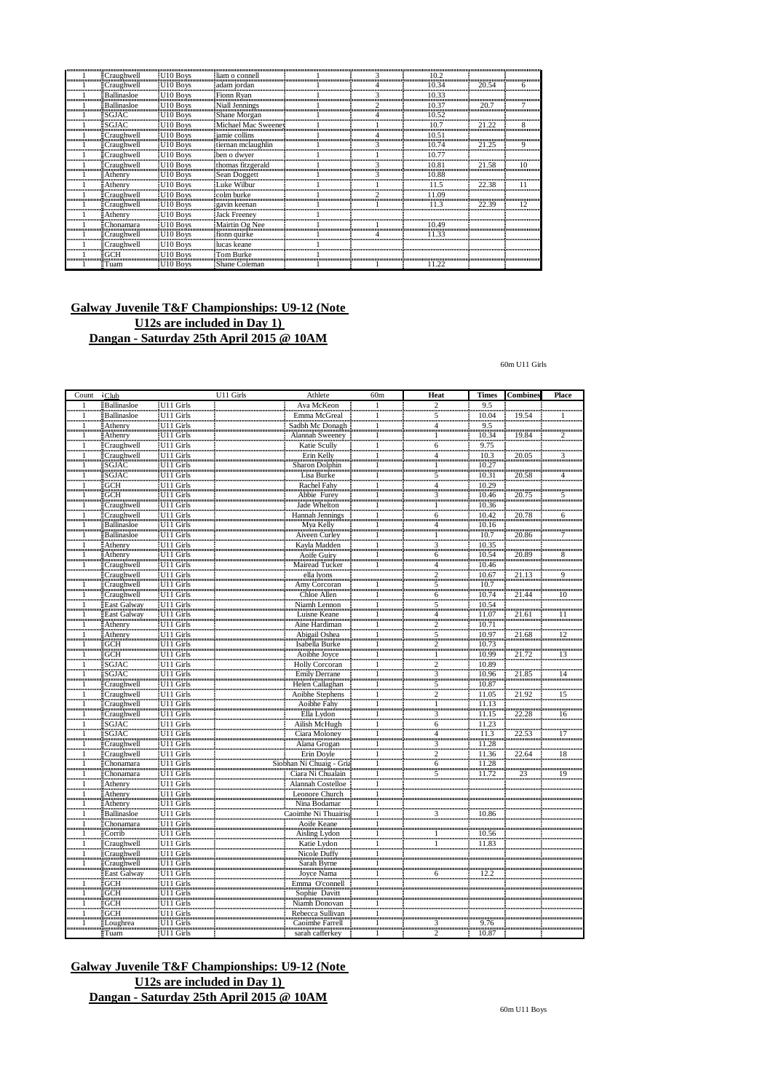|                         | Craughwell                                | U10 Boys                                           | liam o connell                                                                                  |  |                                     |       |     |
|-------------------------|-------------------------------------------|----------------------------------------------------|-------------------------------------------------------------------------------------------------|--|-------------------------------------|-------|-----|
|                         | Craughwell                                | IJ10 Boys                                          | adam jordan                                                                                     |  |                                     | 20.54 |     |
| ,,,,,,,,,,,,,,,         | Ballinasloe                               | U <sub>10</sub> Boys                               | Fionn Ryan                                                                                      |  | 10.33                               |       |     |
| ,,,,,,,,,,,,,,,,,,,,,,, | Ballinasloe<br>                           | U <sub>10</sub> Boys<br>nõmmunumunimu              | Niall Jennings                                                                                  |  | ,,,,,,,,,,,,,,,,,,,,,,,,,,,,,,,,,,, | 20.   |     |
| ,,,,,,,,,,,,,,,,,,,,,   | $\blacksquare$ SGJAC<br>,,,,,,,,,,,,,,,,, | U <sub>10</sub> Boys<br>                           | Shane Morgan                                                                                    |  | 0.52                                |       |     |
|                         | ESGJAC                                    | <b>III0</b> Boys                                   | Michael Mac Sweeney                                                                             |  | 10.7                                | 21.22 |     |
|                         | <b>ECraughwell</b>                        | U10 Boys                                           | jamie collins                                                                                   |  | 105                                 |       |     |
|                         | Craughwell                                | U10 Boys                                           | tiernan mclaughlin                                                                              |  |                                     | 21.25 |     |
|                         | Craughwell                                | HI 10<br><b>Boys</b>                               | ben o dwyer                                                                                     |  |                                     |       |     |
| ,,,,,,,,,,,,,           | Craughwell                                | U10 Boys                                           | thomas fitzgerald                                                                               |  |                                     | 21.58 |     |
| ,,,,,,,,,,,,,,,         | Athenry<br>                               | U10 Boys<br>                                       | Sean Doggett                                                                                    |  | 10.88<br>                           |       |     |
| ,,,,,,,,,,,,,,,,,,,,,,  | Athenry                                   | U <sub>10</sub> Boys                               | Luke Wilbur<br>រប្រាយអាយាយនាំយោយអាយាយអាយ៉ាប់យោយអាយាយនិយាយអាយាយបណ្តិយាយអាយាយអាយាយអាយាយអាយាយអាយាយ |  |                                     | 22.38 |     |
|                         | Craughwell                                | U10 Boys                                           | colm burke                                                                                      |  | 09                                  |       |     |
|                         | Craughwell                                | U <sub>10</sub> Boys                               | gavin keenan                                                                                    |  | 113                                 | 22.39 | ר ו |
|                         | Athenry                                   | <b>III0 Boys</b>                                   | <b>Jack Freeney</b>                                                                             |  |                                     |       |     |
|                         | :Chonamara                                | U10 Boys                                           | Mairtin Og Nee                                                                                  |  | 10.49                               |       |     |
| ,,,,,,,,,,,             | Craughwell                                | U <sub>10</sub> Boys                               | fionn quirke                                                                                    |  | 11.33                               |       |     |
|                         | ECraughwell                               | ≣U10 Boys<br>Amamamana finanananana Amamamanananan | lucas keane                                                                                     |  |                                     |       |     |
| ,,,,,,,,,,,             | :GCH                                      | U <sub>10</sub> Boys                               | Tom Burke                                                                                       |  |                                     |       |     |
|                         | $\exists$ Tuam                            | <b>U10 Boys</b>                                    | Shane Coleman                                                                                   |  | 11.22                               |       |     |

 $60\mathrm{m}$  U11 Girls

| Count        | <b>Club</b>                  |                        | U11 Girls | Athlete                         | 60m                         | Heat                                  | <b>Times</b>           | Combines              | Place           |
|--------------|------------------------------|------------------------|-----------|---------------------------------|-----------------------------|---------------------------------------|------------------------|-----------------------|-----------------|
| $\mathbf{1}$ | Ballinasloe                  | U11 Girls              |           | Ava McKeon                      | $\mathbf{1}$                |                                       | 9.5                    |                       |                 |
|              | Ballinasloe                  | U11 Girls              |           | Emma McGreal                    | $\mathbf{1}$                | $\frac{2}{5}$                         | 10.04                  | 19.54                 | 1               |
| ⊥.           | Athenry                      | U11 Girls              |           | Sadbh Mc Donagh                 | mm<br>$\frac{1}{2}$         | $\frac{4}{2}$                         | 9.5                    |                       |                 |
|              | Athenry                      | U11 Girls              |           | Alannah Sweeney                 |                             | $\frac{1}{\frac{1}{\frac{1}{\cdots}}$ |                        | 19.84                 | Ï.              |
|              | Craughwell                   | U11 Girls              |           | Katie Scully                    | 1                           | $\frac{6}{2}$                         | $\frac{10.34}{9.75}$   |                       |                 |
|              |                              | U11 Girls              |           | Erin Kelly                      |                             | $\frac{4}{2}$                         |                        | 20.05                 | 3               |
|              | Craughwell<br>SGJAC          | U11 Girls              |           | Sharon Dolphin                  | $\frac{1}{1}$               | 1                                     | $\frac{10.3}{10.27}$   |                       |                 |
|              | SGJAC                        | U11 Girls              |           | Lisa Burke                      | $\frac{1}{2}$               | $\frac{5}{5}$                         | 10.31                  | 20.58                 | $\frac{4}{1}$   |
| 1            | GCH                          | U11 Girls              |           | Rachel Fahy                     | $\frac{1}{2}$               | $\frac{4}{2}$                         | 10.29                  |                       |                 |
| 1            | $\overline{\text{GCH}}$      | U11 Girls              |           | Abbie Furey                     | 1.                          | $\frac{3}{2}$                         | 10.46                  | 20.75                 | $\overline{5}$  |
|              | Craughwell                   | U11 Girls              |           | Jade Whelton                    | $\mathbf{1}$                | $\frac{1}{2}$                         | 10.36                  |                       |                 |
|              | Craughwell                   | U11 Girls              |           | Hannah Jennings                 | 1                           | $\frac{6}{2}$                         | 10.42                  | 20.78                 | 6               |
| ш            | Ballinasloe                  | U11 Girls              |           | Mya Kelly                       | $\frac{1}{\text{mm}}$       | 4                                     |                        |                       |                 |
| ասամս        | <b>Ballinasloe</b>           | U11 Girls              |           | <b>Aiveen Curley</b>            |                             |                                       | $\frac{10.16}{10.7}$   | $\frac{1}{20.86}$     |                 |
|              | Athenry                      | U11 Girls              |           | Kayla Madden                    |                             |                                       | 10.35                  |                       |                 |
|              | Athenry                      | U11 Girls              |           | Aoife Guiry                     | $\frac{1}{\min}$<br>1       | 3                                     | 10.54                  | 20.89                 | "8"             |
|              | Craughwell                   | U11 Girls              |           | <b>Mairead Tucker</b>           | $\mathbf{1}$                | $\frac{6}{2}$                         | 10.46                  |                       |                 |
|              | Craughwell                   | U11 Girls              |           | ella lvons                      |                             | $\frac{4}{2}$                         | 10.67                  | 21.13                 | <br>9           |
|              | Craughwell                   | U11 Girls              |           | Amy Corcoran                    | 1                           | $\tilde{\bar{5}}$                     | 10.7                   |                       |                 |
| 1            | Craughwell                   | U11 Girls              |           | Chloe Allen                     | mm                          |                                       | $\frac{10.74}{10.74}$  | 21.44                 | 10              |
|              | East Galway                  | U11 Girls              |           | Niamh Lennon                    | 1<br>$\mathbf 1$            | $\frac{6}{5}$                         | 10.54                  |                       |                 |
|              | East Galway                  | U11 Girls              |           | Luisne Keane                    |                             |                                       | 11.07                  | 21.61                 |                 |
|              |                              | U11 Girls              |           | Aine Hardiman                   | 1<br>шшш                    | $\overline{4}$<br>mûn                 |                        |                       | 11              |
| 1            | Athenry                      |                        |           |                                 | 1                           | $\frac{2}{5}$                         | 10.71<br>10.97         |                       |                 |
|              | <b>Athenry</b><br><b>GCH</b> | U11 Girls<br>U11 Girls |           | Abigail Oshea<br>Isabella Burke | $\frac{1}{2}$               |                                       | $\frac{100000}{10.73}$ | 21.68                 | $\frac{12}{12}$ |
|              |                              |                        |           |                                 | 1                           | $\frac{2}{2}$                         |                        |                       |                 |
|              | GCH                          | U11 Girls<br>U11 Girls |           | Aoibhe Joyce                    | $\frac{1}{2}$               | -1                                    | 10.99<br>10.89         | 21.72                 | 13              |
|              | SGJAC                        |                        |           | Holly Corcoran                  | 1                           | $\frac{2}{2}$                         |                        |                       |                 |
| 1            | SGJAC                        | U11 Girls              |           | <b>Emily Derrane</b>            | $\mathbf{1}$                | $\frac{3}{5}$                         | 10.96                  | 21.85                 | 14              |
| 1            | Craughwell                   | U11 Girls              |           | <b>Helen</b> Callaghan          | ï                           |                                       | 10.87                  |                       |                 |
| 1            | Craughwell                   | U11 Girls              |           | Aoibhe Stephens                 | $\frac{1}{1}$               | Ž.                                    | 11.05                  | 21.92                 | $\overline{15}$ |
| 1            | Craughwell                   | U11 Girls              |           | Aoibhe Fahy                     |                             | $\mathbf{1}$                          | 11.13                  |                       |                 |
| 1            | Craughwell                   | U11 Girls              |           | Ella Lydon                      | ï                           | $\overline{3}$<br>m.                  | 11.15                  | 22.28                 | $\overline{16}$ |
| ᇳ            | SGJAC<br>SGJAC               | U11 Girls              |           | Ailish McHugh                   | $\frac{1}{1}$               | $\frac{6}{2}$                         | $\frac{11.23}{11.3}$   |                       |                 |
|              |                              | U11 Girls              |           | Ciara Moloney                   |                             | 4                                     |                        | 22.53                 | $\frac{1}{17}$  |
| -1<br>ասամ   | Craughwell                   | U11 Girls              |           | Alana Grogan                    | 1                           | $\frac{3}{2}$                         | $\frac{11.28}{2}$      |                       |                 |
|              | Craughwell                   | U11 Girls              |           | Erin Doyle                      | 1                           |                                       | 11.36                  | $\frac{22.64}{22.64}$ | $\frac{1}{18}$  |
| 1            | Chonamara                    | U11 Girls              |           | Siobhan Ni Chuaig - Gria        | 1                           | $\underline{6}$                       | 11.28                  |                       |                 |
| 1            | Chonamara                    | U11 Girls              |           | Ciara Ni Chualain               | $\,1\,$                     | 5                                     | 11.72                  | $\overline{23}$       | $\frac{1}{19}$  |
|              | Athenry                      | U11 Girls              |           | <b>Alannah Costelloe</b>        | ï<br>mm                     |                                       |                        |                       |                 |
| 1            | Athenry                      | U11 Girls              |           | Leonore Church                  | $\frac{1}{1}$               |                                       |                        |                       |                 |
| ï            | Athenry                      | $U11$ Girls            |           | Nina Bodamar                    |                             |                                       |                        |                       |                 |
|              | Ballinasloe                  | U11 Girls              |           | Caoimhe Ní Thuairis             | 1<br>mm                     | 3                                     | 10.86                  |                       |                 |
| 1            | Chonamara                    | U11 Girls              |           | <b>Aoife Keane</b>              | $\mathbf{1}$                |                                       |                        |                       |                 |
|              | Corrib                       | $U11$ Girls            |           | Aisling Lydon                   | $\frac{1}{\text{num}}$      | 1<br>ամա                              | 10.56                  |                       |                 |
|              |                              | U11 Girls              |           | Katie Lydon                     | $\mathbf{1}$                | 1                                     | $\frac{1}{11.83}$      |                       |                 |
|              | Craughwell                   | U11 Girls              |           | Nicole Duffy                    | Ť                           |                                       |                        |                       |                 |
| 1            | Craughwell                   | U11 Girls              |           | Sarah Byrne                     | $\frac{1}{2}$               |                                       |                        |                       |                 |
|              | East Galway                  | U11 Girls              |           | Joyce Nama                      | $\,1$                       | 6                                     | 12.2                   |                       |                 |
|              | GCH                          | U11 Girls              |           | Emma O'connell                  | 1                           |                                       |                        |                       |                 |
| 1            | GCH                          | U11 Girls              |           | Sophie Davitt                   |                             |                                       |                        |                       |                 |
| 1            | GCH                          | U11 Girls              |           | Niamh Donovan                   | $\frac{1}{1}$               |                                       |                        |                       |                 |
| 1            | GCH                          | U11 Girls              |           | Rebecca Sullivan                | Ť                           |                                       |                        |                       |                 |
|              | Loughrea                     | U11 Girls              |           | Caoimhe Farrell                 |                             |                                       | 9.76                   |                       |                 |
|              | Tuam                         | U11 Girls              |           | sarah cafferkey                 | $\frac{1}{\text{min}}$<br>1 | 3<br>2                                | 10.87                  |                       |                 |
|              |                              |                        |           |                                 |                             |                                       |                        |                       |                 |

**Galway Juvenile T&F Championships: U9-12 (Note U12s are included in Day 1) Dangan - Saturday 25th April 2015 @ 10AM**

60m U11Boys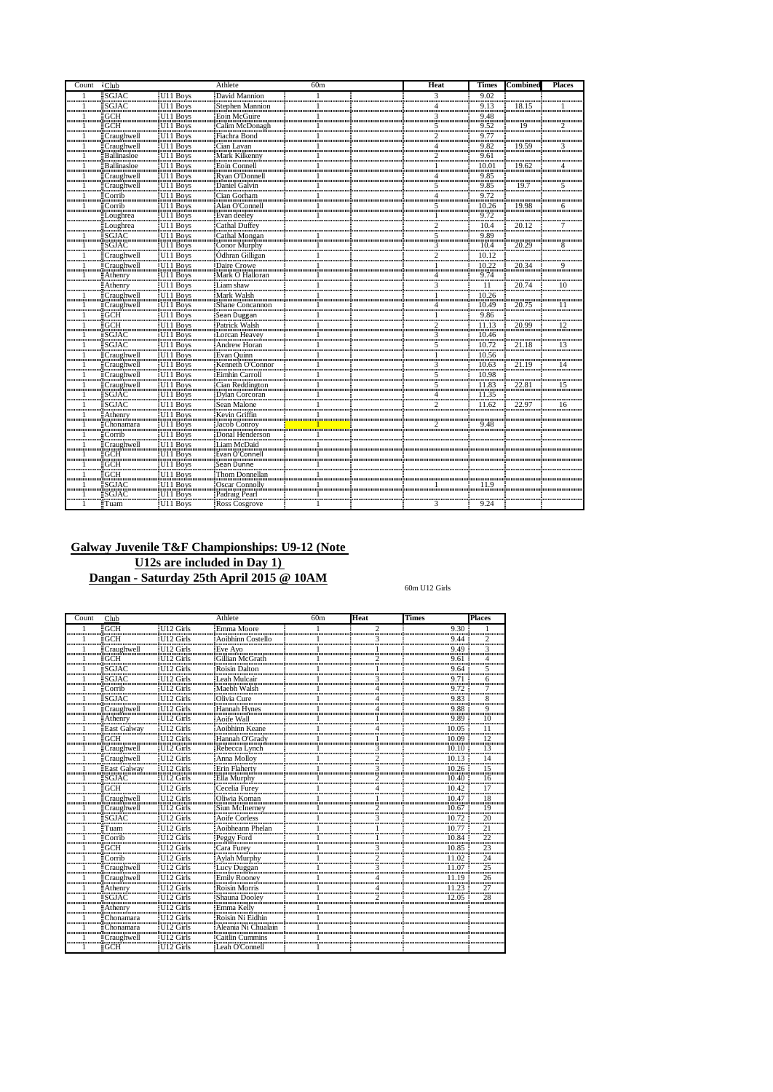| Count | <b>Club</b>                |                                                                      | Athlete                        | 60m | Heat                    | <b>Times</b>          | Combined                                              | <b>Places</b>               |
|-------|----------------------------|----------------------------------------------------------------------|--------------------------------|-----|-------------------------|-----------------------|-------------------------------------------------------|-----------------------------|
|       | SGJAC                      | U11 Boys                                                             | David Mannion                  |     | 3<br>ասա                | 9.02                  |                                                       |                             |
|       | <b>SGJAC</b>               | U11 Boys                                                             | Stephen Mannion                |     | 4                       | 9.13                  | 18.15                                                 |                             |
|       | <br><b>GCH</b>             | U11 Boys                                                             | Eoin McGuire                   |     | <br>3                   | 9.48                  |                                                       |                             |
|       | <b>GCH</b>                 | U11 Boys                                                             | Calim McDonagh                 |     | <br>5                   | 9.52                  | 19                                                    | 2                           |
|       | Craughwell                 | U11 Boys                                                             | Fiachra Bond                   |     | անա<br>$\overline{c}$   | 9.77                  |                                                       |                             |
|       | Craughwell                 | U11 Boys                                                             | Cian Lavan                     |     | 4                       | 9.82                  | 19.59                                                 | 3                           |
|       | Ballinasloe                | U11 Boys                                                             | Mark Kilkenny                  |     | mnimo<br>$\overline{c}$ | 9.6                   |                                                       |                             |
|       | Ballinasloe                |                                                                      | Eoin Connell                   |     |                         | 10.01                 | 19.62                                                 |                             |
|       | <br>Craughwell             | U <sub>11</sub> Boys<br>U <sub>11</sub> Boys<br>U <sub>11</sub> Boys | Ryan O'Donnell                 |     |                         | <br>9.85              |                                                       | ,,,,,,,,,,,,,,,,,,,,,,,,    |
|       | Craughwell                 |                                                                      | Daniel Galvin                  |     | 5                       |                       | 19.7                                                  | 5                           |
|       | հասասածնա<br>Corrib        |                                                                      | n minimum<br>Cian Gorham       |     | <br>4                   | $\frac{9.85}{9.72}$   |                                                       |                             |
|       | Corrib                     | U11 Boys                                                             | Alan O'Connell                 |     | 5                       | 10.26                 | 19.98                                                 | 6                           |
|       | Loughrea                   | U11 Boys                                                             | Evan deeley                    |     |                         | 9.72                  |                                                       |                             |
|       | Loughrea                   |                                                                      |                                |     | ամա<br>$\overline{c}$   | 10.4                  | 20.12                                                 | 7                           |
|       | SGJAC                      | U <sub>11</sub> Boys<br>U <sub>11</sub> Boys                         | Cathal Duffey<br>Cathal Mongan |     | <br>5                   | $\frac{10}{9.89}$     |                                                       |                             |
|       | <b>SGJAC</b>               | U11 Boys                                                             | Conor Murphy                   |     | min<br>3                | 10.4                  | 20.29                                                 | 8                           |
|       | Craughwell                 | U11 Boys                                                             | <b>Odhran</b> Gilligan         |     | 2                       | 10.12                 |                                                       |                             |
|       | <br>Craughwell             | U11 Boys                                                             | Daire Crowe                    |     | անատ                    | <br>10.22             | 0.000.000.000.000.000.000.000.000.000.000.00<br>20.34 | 9                           |
|       | Athenry                    | U <sub>11</sub> Boys                                                 | Mark O Halloran                |     |                         |                       |                                                       |                             |
|       | Athenry                    | U11 Boys                                                             |                                |     | 3                       | $\frac{9.74}{11}$     | $^{20.74}$                                            | ,,,,,,,,,,,,,,,,,,,,,<br>10 |
|       | Craughwell                 | U11 Boys                                                             | Liam shaw<br>Mark Walsh        |     |                         | <br>10.26             |                                                       |                             |
|       | Craughwell                 | U11 Boys                                                             | Shane Concannon                |     |                         | 10.49                 | 20.75                                                 | 11                          |
|       |                            | U11 Boys                                                             | Sean Duggan                    |     |                         |                       |                                                       |                             |
|       | <b>GCH</b><br>GCH          |                                                                      | Patrick Walsh                  |     |                         | 9.86<br>11.13         | 20.99                                                 | 12                          |
|       | <br><b>SGJAC</b>           | U11 Boys<br>U11 Boys                                                 | Lorcan Heavey                  |     | $\frac{2}{2}$<br>3      | <br>10.46             |                                                       |                             |
|       | SGJAC                      |                                                                      |                                |     |                         | 10.72                 | 21.18                                                 | 13                          |
|       | 1000000000000000           | U11 Boys<br>U11 Boys                                                 | Andrew Horan                   |     |                         | <br>10.56             |                                                       |                             |
|       | Craughwell<br>Craughwell   |                                                                      | Evan Quinn<br>Kenneth O'Connor |     | 3                       | 10.63                 | 21.19                                                 | 14                          |
|       | ասասանասասա<br>Craughwell  | U11 Boys<br>U11 Boys                                                 | Eimhin Carroll                 |     | <br>3                   | $\frac{10.98}{10.98}$ | 5                                                     | ,,,,,,,,,,,,,,,,,,,,,       |
|       |                            |                                                                      |                                |     | 5                       | 11.83                 | 22.81                                                 |                             |
|       | Craughwell<br><b>SGJAC</b> | U11 Boys                                                             | Cian Reddington                |     |                         |                       |                                                       | 15                          |
|       |                            | U11 Boys                                                             | Dvlan Corcoran                 |     | $\overline{4}$<br>      | 11.35<br>             |                                                       | ,,,,,,,,                    |
|       | SGJAC                      | U11 Boys                                                             | Sean Malone                    |     | $\overline{c}$          | 11.62                 | 22.97                                                 | 16                          |
|       | Athenry                    | U11 Boys                                                             | Kevin Griffin                  |     |                         | ,,,,,,,,,,,           |                                                       |                             |
|       | Chonamara                  | U11 Boys                                                             | Jacob Conroy                   |     | 2                       | 9.48                  |                                                       |                             |
|       | Corrib<br>1000000000000000 | U11 Boys                                                             | Donal Henderson                |     |                         |                       |                                                       |                             |
|       | Craughwell                 | U11 Boys                                                             | Liam McDaid                    |     |                         |                       |                                                       |                             |
|       | GCH                        | U <sub>11</sub> Boys                                                 | Evan O'Connell                 |     |                         |                       |                                                       |                             |
|       | GCH<br>                    | U <sub>11</sub> Boys                                                 | Sean Dunne                     |     |                         |                       |                                                       |                             |
|       | GCH                        | U11 Boys<br>U11 Boys                                                 | Thom Donnellan                 |     |                         |                       |                                                       |                             |
|       | SGJAC <sup>"</sup>         |                                                                      | <b>Oscar Connolly</b>          |     |                         |                       |                                                       |                             |
|       | <b>SGJAC</b>               | U11 Boys                                                             | Padraig Pearl                  |     |                         |                       |                                                       |                             |
|       | <b>≣Tuam</b>               | U <sub>11</sub> Boys                                                 | Ross Cosgrove                  | 1   | 3                       | 9.24                  |                                                       |                             |

60m U12 Girls

| Count | Club                                          |                                                      | Athlete                                                      | 60 <sub>m</sub> | Heat             | <b>Times</b>      | <b>Places</b>     |
|-------|-----------------------------------------------|------------------------------------------------------|--------------------------------------------------------------|-----------------|------------------|-------------------|-------------------|
|       | GCH                                           | U12 Girls<br>@www.www.www.www.www.dww.www.www.www.ww | iEmma Moore                                                  |                 | 2<br><del></del> | 9.30              |                   |
|       | GCH<br>0.000.000.000.000.000.000.000          | U12 Girls                                            | Aoibhinn Costello                                            |                 | 3                | 9.44              |                   |
|       | Craughwell<br><del></del>                     | U12 Girls<br>                                        | Eve Avo                                                      |                 |                  | 9.49<br>          | 3<br>             |
|       | <b>GCH</b>                                    | II12 Girls                                           | Gillian McGrath                                              |                 |                  | 9.61              | Δ                 |
|       | <b>SGJAC</b><br>                              | U12 Girls<br>                                        | <b>Roisin Dalton</b>                                         |                 |                  | 9.64<br>          | 5<br>             |
|       |                                               | Girls<br>                                            | Leah Mulcair<br>,,,,,,,,,,,,,,,,,,,,,,,,,,,,,,,,             |                 |                  |                   | 6<br>             |
|       | Corrib<br>                                    | U12 Girls                                            | Maebh Walsh                                                  |                 |                  | 9.72              |                   |
|       | SGJAC                                         | U12 Girls                                            | Olivia Cure                                                  |                 |                  | 9.83              | 8                 |
|       | Craughwell                                    | II12 Girls                                           | Hannah Hynes                                                 |                 |                  | 9.88              | 9<br>             |
|       | Athenry                                       | II12 Girls                                           | Aoife Wall                                                   |                 |                  | 9.89              | 10<br>            |
|       | East Galway                                   | U12 Girls<br>6                                       | Aoibhinn Keane                                               |                 |                  |                   | 11<br>            |
|       |                                               | Girls                                                | Hannah O'Gradv                                               |                 |                  | <br>09<br>ասասատմ |                   |
|       | Craughwell<br>www.gunum.com                   | . 0.000.000.000.000.000.000.00<br>U12 Girls          | Rebecca Lynch                                                |                 |                  | 10.10             | 13                |
|       | Craughwell                                    | U12 Girls                                            | Anna Mollov                                                  |                 |                  | 10.13             | <br>14<br>        |
|       | East Galway                                   | III2 Girls<br>                                       | Erin Flaherty                                                |                 | 3                | 10.26<br>         | 15<br>            |
|       |                                               | II 12                                                | Ella Murphy                                                  |                 |                  |                   | 16                |
|       |                                               | Git Is                                               | Cecelia Furey                                                |                 |                  |                   | <br>17            |
|       | ,,,,,,,,,,,,,,,,,,,,,,,,,,,,,,,<br>Craughwell | U12 Girls                                            | Oliwia Koman                                                 |                 |                  | 10.47             | <br>18            |
|       | Craughwell                                    | U12 Girls                                            | <b>Siun McInernev</b>                                        |                 |                  | 10.67             | 19                |
|       | SGIAC                                         | U12 Girls                                            | Aoife Corless                                                |                 |                  | 10.72             | 20                |
|       | ∎Tuam                                         | <br>II12 Girls                                       |                                                              |                 |                  |                   | <br>21            |
|       | Corrib                                        | U12 Girls                                            | Aoibheann Phelan<br>Peggy Ford                               |                 |                  |                   | 22                |
|       |                                               | -H12 Girls                                           | la Estadulum III.<br> Cara Furey                             |                 |                  | <br>85            | <br>23            |
|       | 1<br>Corrib                                   | 0.000.000.000.000.000.000.00<br>U12 Girls            | Avlah Murphy                                                 |                 |                  |                   | <br>24            |
|       | Craughwell                                    | U12 Girls                                            | Lucy Duggan                                                  |                 | 3                | 11.07             | <br>25            |
|       | Craughwell                                    | U12 Girls                                            | <b>Emily Rooney</b>                                          |                 |                  | 11 19             | <br>26            |
|       | Athenry                                       | iH12                                                 | <b>Roisin Morris</b>                                         |                 |                  | <br>11.23         | <del></del><br>27 |
|       | ասասասանասա                                   | Girls                                                | Shauna Doolev                                                |                 |                  | ասասասան<br>.05   | <br>28            |
|       | Athenrv                                       | <br>U12 Girls                                        | Emma Kelly                                                   |                 |                  |                   |                   |
|       | Chonamara                                     | U12 Girls                                            | Roisin Ni Eidhin                                             |                 |                  |                   |                   |
|       | Chonamara                                     | II12 Girls                                           | Aleania Ni Chualain                                          |                 |                  |                   |                   |
|       | Craughwell                                    | II12 Girls                                           | $C$ aitlin $C$ ummins                                        |                 |                  |                   |                   |
|       |                                               | GCH U12 Girls                                        | <b>Quantum communication communication</b><br>Leah O'Connell |                 |                  |                   |                   |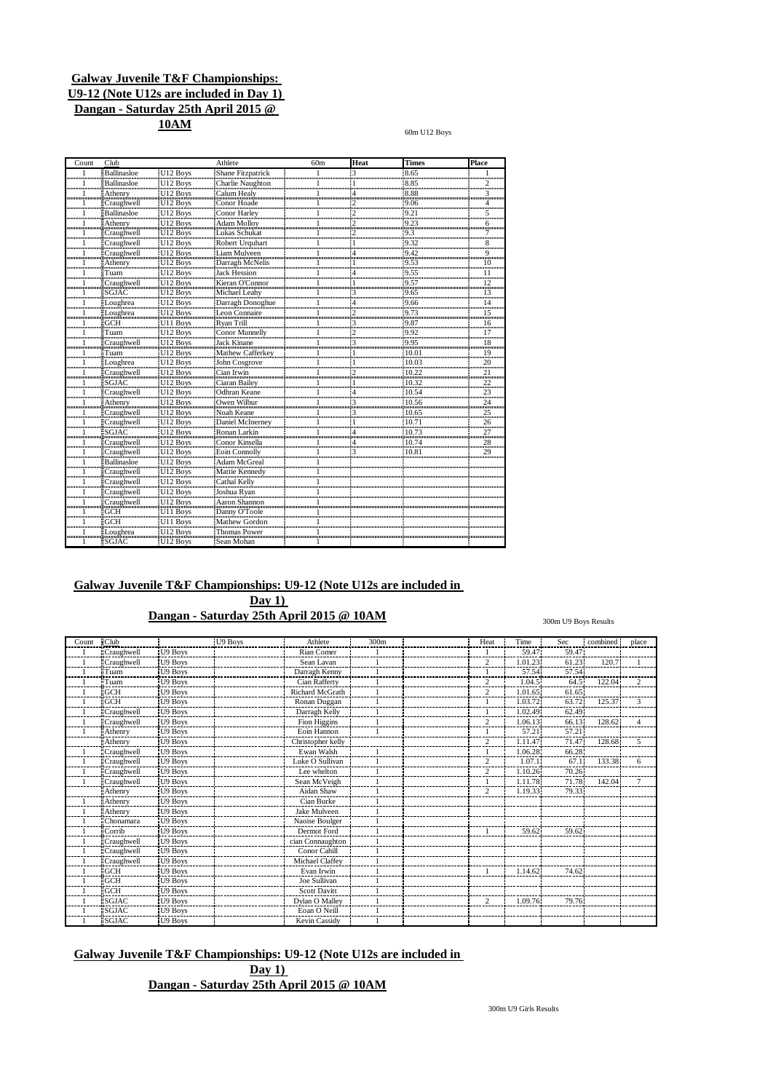**10AM**

60m U12 Boys

| Count | Club                          |                                                          | Athlete                                        | 60 <sub>m</sub> | Heat | <b>Times</b>               | Place           |
|-------|-------------------------------|----------------------------------------------------------|------------------------------------------------|-----------------|------|----------------------------|-----------------|
|       | Ballinasloe                   | U12 Boys                                                 | <b>Shane Fitzpatrick</b>                       |                 |      | 8.65                       |                 |
|       | Ballinasloe                   | U12 Boys                                                 | Charlie Naughton                               |                 |      | ՝ասասա<br>8.85             |                 |
|       | Athenry                       | U12 Boys<br>U12 Boys<br>U12 Boys<br>U12 Boys<br>U12 Boys | Calum Healy                                    |                 |      | $\frac{1}{8.88}$           | 3               |
|       | Craughwell                    |                                                          | Conor Hoade<br>,,,,,,,,,,,,,,,,,,,,,,,,,,,,,,, |                 |      | $\frac{9.06}{2}$           |                 |
|       | Ballinasloe<br>               |                                                          | Conor Harley<br>Adam Molloy                    |                 |      | 9.2                        | 5<br>           |
|       | Athenry                       |                                                          |                                                |                 |      | 0<br>$-9.23$<br><b>ñmm</b> | 6<br>           |
|       | Craughwell                    |                                                          | Lukas Schukat                                  |                 |      | $-9.3$<br>.                | 7<br>           |
|       | Craughwell                    | U12 Boys<br>U12 Boys<br>U12 Boys                         | Robert Urguhart                                |                 |      | :9.32                      | 8<br>           |
|       | Craughwell                    |                                                          | Liam Mulveen                                   |                 |      | 9.42<br>5                  | 9<br>           |
|       | Athenry                       | U12 Boys                                                 | Darragh McNelis                                |                 |      | 9.53                       | 10<br>աստա      |
|       | Tuam                          | U12 Boys                                                 | <b>Jack Hession</b>                            |                 |      | 9.55<br>                   | 11<br>          |
|       | Craughwell                    | U12 Boys<br>U12 Boys<br>!                                | Kieran O'Connor                                |                 |      | 9.57                       | $\frac{12}{12}$ |
|       | SGJAC                         |                                                          | Michael Leahy                                  |                 |      | 9.65<br>                   | $\overline{13}$ |
|       | Loughrea                      |                                                          | Darragh Donoghue                               |                 |      | 9.66                       | $\frac{14}{2}$  |
|       | Loughrea                      | U12 Boys<br>U12 Boys                                     | Leon Connaire                                  |                 |      | $^{12.00}_{9.73}$          | $\frac{15}{2}$  |
|       | <b>GCH</b><br>՝ոսասատ         | U11 Boys                                                 | Ryan Trill                                     |                 |      | 9.87<br>60000000           | 16<br>          |
|       | Tuam                          |                                                          | Conor Munnelly                                 |                 |      | 9.92                       | 17              |
|       | Craughwell                    |                                                          | Jack Kinane                                    |                 |      | ستشنطة<br>9.95             |                 |
|       | Tuam                          |                                                          |                                                |                 |      | 6<br>10.01                 | $\overline{19}$ |
|       | Loughrea                      | U12 Boys<br>U12 Boys<br>U12 Boys<br>U12 Boys             | Mathew Cafferkey<br>John Cosgrove              |                 |      | 10.03                      | minim<br>20<br> |
|       | Craughwell                    | U12 Boys                                                 | Cian Irwin                                     |                 |      | 10.22                      | $\frac{21}{21}$ |
|       | SGJAC                         | U12 Boys                                                 | Ciaran Bailey                                  |                 |      | 10.32<br>                  | $\frac{22}{2}$  |
|       | Craughwell                    |                                                          | Odhran Keane<br>                               |                 |      | 10.54                      |                 |
|       | Athenry                       | U12 Boys<br>U12 Boys<br> U12 Boys                        | Owen Wilbur                                    |                 |      | 10.56                      | $\frac{23}{24}$ |
|       | Craughwell                    | U12 Boys<br>U12 Boys<br>U12 Boys<br>U12 Boys<br>U12 Boys | Noah Keane                                     |                 |      | 10.65<br>;,,,,,,,,,,,,,    | $\frac{25}{25}$ |
|       | Craughwell<br>                |                                                          | Daniel McInerney                               |                 |      | 10.71<br>                  |                 |
|       | SGJAC                         |                                                          | Ronan Larkin                                   |                 |      | 10.73<br>՝ասասա            | $\frac{26}{27}$ |
|       | Craughwell                    |                                                          | Conor Kinsella                                 |                 |      | 10.74<br>,,,,,,,,,,,,,,    | $\frac{28}{25}$ |
|       | Craughwell                    |                                                          | Eoin Connolly                                  |                 |      | 10.81                      | 29              |
|       | Ballinasloe<br>               | U12 Boys<br>U12 Boys                                     | Adam McGreal                                   |                 |      |                            |                 |
|       | Craughwell                    |                                                          | Mattie Kennedy                                 |                 |      |                            |                 |
|       | Craughwell                    |                                                          | Cathal Kelly                                   |                 |      |                            |                 |
|       | Craughwell                    | U12 Boys<br>U12 Boys<br>MILL Boys                        | Joshua Ryan                                    |                 |      |                            |                 |
|       | Craughwell                    | U12 Boys                                                 | Aaron Shannon                                  |                 |      |                            |                 |
|       | <b>GCH</b><br><b>inimimum</b> |                                                          | Danny O'Toole                                  |                 |      |                            |                 |
|       | GCH                           |                                                          | Mathew Gordon                                  |                 |      |                            |                 |
|       | Loughrea                      | U <sub>12</sub> Boys                                     | Thomas Power                                   |                 |      |                            |                 |
|       | $\blacksquare$ SGJAC          | U <sub>12</sub> Boys                                     | Sean Mohan                                     |                 |      |                            |                 |

## **Galway Juvenile T&F Championships: U9-12 (Note U12s are included in Day 1)**

**Dangan - Saturday 25th April 2015 @ 10AM**

300m U9 Boys Results

| Count | <b>Club</b>       |         | U9 Boys | Athlete             | 300m | Heat           | Time    | Sec   | combined: | place        |
|-------|-------------------|---------|---------|---------------------|------|----------------|---------|-------|-----------|--------------|
|       | <b>Craughwell</b> | U9 Boys |         | Rian Comer          |      |                | 59.47   | 59.47 |           |              |
|       | <b>Craughwell</b> | U9 Boys |         | Sean Lavan          |      | 2              | 1.01.23 | 61.23 | 120.7     |              |
|       | <sup>1</sup> Tuam | U9 Boys |         | Darragh Kenny       |      |                | 57.54   | 57.54 |           |              |
|       | Tuam              | U9 Boys |         | Cian Rafferty       |      | $\overline{c}$ | 1.04.5  | 64.5  | 122.04    |              |
|       | IGCH              | U9 Boys |         | Richard McGrath     |      | $\overline{c}$ | 1.01.65 | 61.65 |           |              |
|       | GCH               | U9 Boys |         | Ronan Duggan        |      |                | 1.03.72 | 63.72 | 125.37    | $\mathbf{3}$ |
|       | Craughwell        | U9 Boys |         | Darragh Kelly       |      |                | 1.02.49 | 62.49 |           |              |
|       | Craughwell        | U9 Boys |         | Fion Higgins        |      | $\overline{c}$ | 1.06.13 | 66.13 | 128.62    |              |
|       | Athenry           | U9 Boys |         | Eoin Hannon         |      |                | 57.21   | 57.21 |           |              |
|       | Athenry           | U9 Boys |         | Christopher kelly   |      | $\overline{c}$ | 1.11.47 | 71.47 | 128.68.   | 5            |
|       | Craughwell        | U9 Boys |         | Ewan Walsh          |      |                | 1.06.28 | 66.28 |           |              |
|       | Craughwell        | U9 Boys |         | Luke O Sullivan     |      | 2              | 1.07.1  | 67.1  | 133.38    | 6            |
|       | <b>Craughwell</b> | U9 Boys |         | Lee whelton         |      | 2              | 1.10.26 | 70.26 |           |              |
|       | Craughwell        | U9 Boys |         | Sean McVeigh        |      |                | 1.11.78 | 71.78 | 142.04    |              |
|       | Athenry           | U9 Boys |         | Aidan Shaw          |      | $\overline{c}$ | 1.19.33 | 79.33 |           |              |
|       | Athenry           | U9 Boys |         | Cian Burke          |      |                |         |       |           |              |
|       | Athenry           | U9 Boys |         | <b>Jake Mulveen</b> |      |                |         |       |           |              |
|       | Chonamara         | U9 Boys |         | Naoise Boulger      |      |                |         |       |           |              |
|       | Corrib            | U9 Boys |         | Dermot Ford         |      |                | 59.62   | 59.62 |           |              |
|       | Craughwell        | U9 Boys |         | cian Connaughton    |      |                |         |       |           |              |
|       | :Craughwell       | U9 Boys |         | Conor Cahill        |      |                |         |       |           |              |
|       | Craughwell        | U9 Boys |         | Michael Claffev     |      |                |         |       |           |              |
|       | $-GCH$            | U9 Boys |         | Evan Irwin          |      |                | 1.14.62 | 74.62 |           |              |
|       | <b>GCH</b>        | U9 Boys |         | Joe Sullivan        |      |                |         |       |           |              |
|       | GCH               | U9 Boys |         | <b>Scott Davitt</b> |      |                |         |       |           |              |
|       | <b>SGJAC</b>      | U9 Boys |         | Dylan O Malley      |      | $\overline{2}$ | 1.09.76 | 79.76 |           |              |
|       | SGIAC             | U9 Boys |         | Eoan O Neill        |      |                |         |       |           |              |
|       | <b>SGJAC</b>      | U9 Boys |         | Kevin Cassidy       |      |                |         |       |           |              |

**Galway Juvenile T&F Championships: U9-12 (Note U12s are included in**

**Day 1) Dangan - Saturday 25th April 2015 @ 10AM**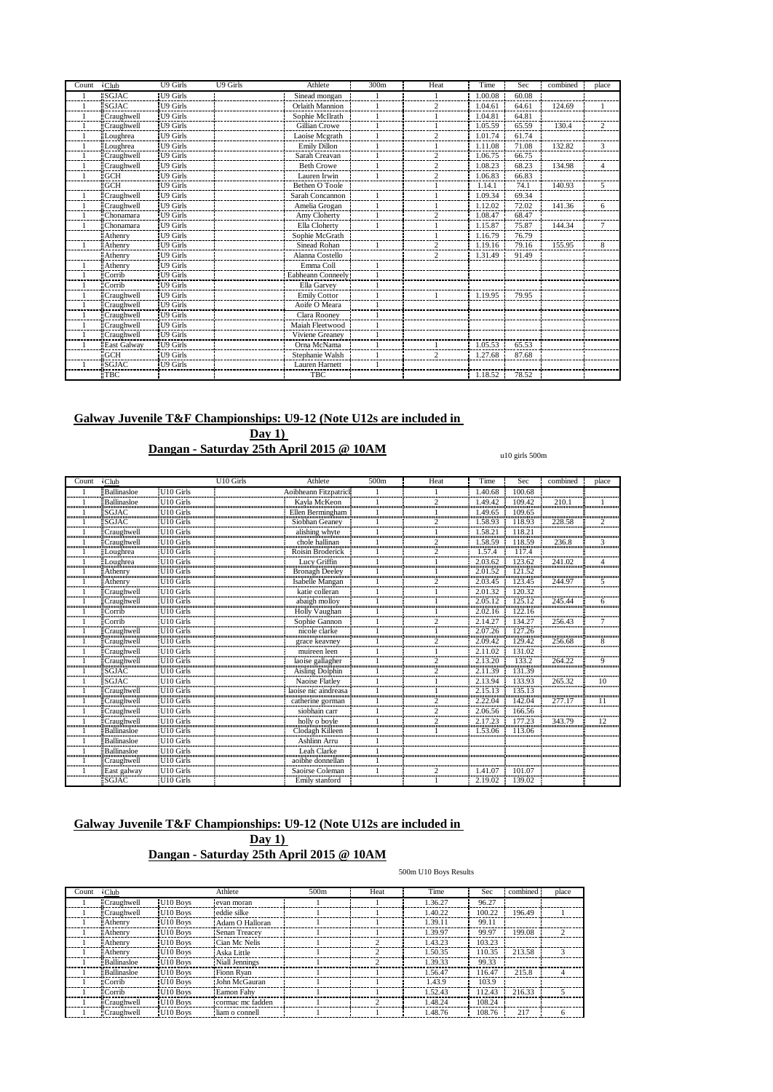| Count | $\cdot$ Club        | <b>U9 Girls</b> | U9 Girls | Athlete               | 300m | Heat | Time    | Sec   | combined | place          |
|-------|---------------------|-----------------|----------|-----------------------|------|------|---------|-------|----------|----------------|
|       | <b>SGJAC</b>        | U9 Girls        |          | Sinead mongan         |      |      | 1.00.08 | 60.08 |          |                |
|       | <b>SGIAC</b>        | U9 Girls        |          | Orlaith Mannion       |      |      | 1.04.61 | 64.61 | 124.69   |                |
|       | Craughwell          | U9 Girls        |          | Sophie McIlrath       |      |      | 1.04.81 | 64.81 |          |                |
|       | Craughwell          | U9 Girls        |          | Gillian Crowe         |      |      | 1.05.59 | 65.59 | 130.4    | $\overline{c}$ |
|       | Loughrea            | U9 Girls        |          | Laoise Mcgrath        |      |      | 1.01.74 | 61.74 |          |                |
|       | Loughrea            | U9 Girls        |          | Emily Dillon          |      |      | 1.11.08 | 71.08 | 132.82   | 3              |
|       | Craughwell          | U9 Girls        |          | Sarah Creavan         |      |      | 1.06.75 | 66.75 |          |                |
|       | <b>Craughwell</b>   | U9 Girls        |          | <b>Beth Crowe</b>     |      |      | 1.08.23 | 68.23 | 134.98   |                |
|       | <b>GCH</b>          | U9 Girls        |          | Lauren Irwin          |      |      | 1.06.83 | 66.83 |          |                |
|       | <b>EGCH</b>         | U9 Girls        |          | Bethen O Toole        |      |      | 1.14.1  | 74.1  | 140.93   | 5              |
|       | Craughwell          | U9 Girls        |          | Sarah Concannon       |      |      | 1.09.34 | 69.34 |          |                |
|       | Craughwell          | U9 Girls        |          | Amelia Grogan         |      |      | 1.12.02 | 72.02 | 141.36   | 6              |
|       | Chonamara           | U9 Girls        |          | Amy Cloherty          |      |      | 1.08.47 | 68.47 |          |                |
|       | Chonamara           | U9 Girls        |          | Ella Cloherty         |      |      | 1.15.87 | 75.87 | 144.34   | 7              |
|       | Athenry             | U9 Girls        |          | Sophie McGrath        |      |      | 1.16.79 | 76.79 |          |                |
|       | <b>Athenry</b>      | U9 Girls        |          | Sinead Rohan          |      |      | 1.19.16 | 79.16 | 155.95   | 8              |
|       | Athenry             | U9 Girls        |          | Alanna Costello       |      | Ω    | 1.31.49 | 91.49 |          |                |
|       | Athenry             | U9 Girls        |          | Emma Coll             |      |      |         |       |          |                |
|       | Corrib              | U9 Girls        |          | Eabheann Conneely     |      |      |         |       |          |                |
|       | <sup>1</sup> Corrib | U9 Girls        |          | Ella Garvey           |      |      |         |       |          |                |
|       | <b>Craughwell</b>   | U9 Girls        |          | <b>Emily Cottor</b>   |      |      | 1.19.95 | 79.95 |          |                |
|       | Craughwell          | U9 Girls        |          | Aoife O Meara         |      |      |         |       |          |                |
|       | Craughwell          | U9 Girls        |          | Clara Rooney          |      |      |         |       |          |                |
|       | Craughwell          | U9 Girls        |          | Maiah Fleetwood       |      |      |         |       |          |                |
|       | Craughwell          | U9 Girls        |          | Viviene Greanev       |      |      |         |       |          |                |
|       | <b>East Galway</b>  | U9 Girls        |          | Orna McNama           |      |      | 1.05.53 | 65.53 |          |                |
|       | GCH                 | U9 Girls        |          | Stephanie Walsh       |      |      | 1.27.68 | 87.68 |          |                |
|       | <b>SGJAC</b>        | U9 Girls        |          | <b>Lauren Harnett</b> |      |      |         |       |          |                |
|       | <b>TBC</b>          |                 |          | <b>TBC</b>            |      |      | 1.18.52 | 78.52 |          |                |

**Day 1)**

## **Dangan - Saturday 25th April 2015 @ 10AM**

#### u10 girls 500m

| Count | $\sqrt{\text{C}}$ lub                                                                        |                                                     | U10 Girls | Athlete                                                                            | 500m | Heat                                  | Time                               | Sec                             | combined             | place |
|-------|----------------------------------------------------------------------------------------------|-----------------------------------------------------|-----------|------------------------------------------------------------------------------------|------|---------------------------------------|------------------------------------|---------------------------------|----------------------|-------|
|       | <b>Ballinasloe</b>                                                                           | U10 Girls                                           |           | Aoibheann Fitzpatric<br><u>ការបរិយាណរបស់លោកអាយាយបំបាយមកដើមមានអាយាយអាយាយអាយាយបំ</u> |      |                                       | .40.68                             | 100.68<br>umummmmmmmmmmmmmmmmmm | ,,,,,,,,,,,,,,,,,,,, |       |
|       | ≣Ballinasloe                                                                                 | U <sub>10</sub> Girls                               |           | Kavla McKeon                                                                       |      |                                       | .49.42                             | 109.42                          | 210.                 |       |
|       | $\mathsf{I}\mathsf{sGJAC}$<br>                                                               | U10 Girls<br>                                       |           | Ellen Bermingham                                                                   |      |                                       | 1.49.65<br>,,,,,,,,,,,,,,,,,,      | 109.65<br>                      |                      |       |
|       | SGJAC                                                                                        | U <sub>10</sub> Girls                               |           | Siobhan Geaney                                                                     |      |                                       | .58.93                             | 118.93                          | 228.58               |       |
|       | Craughwell                                                                                   | U <sub>10</sub> Girls                               |           | alishing whyte                                                                     |      |                                       | 1.58.21                            | 118.21                          |                      |       |
|       | Craughwell                                                                                   | U10 Girls<br>                                       |           | chole hallinan                                                                     |      | ,,,,,,,,,,,,,,,,,,,,,,,,,,,,,,,,,,,,, | .58.59                             | 118.59                          | 236.8                |       |
|       | ≣Loughrea<br>Munomitionomunomuno                                                             | II10 Girls<br>0.000.000.000.000.000.000.000.00      |           | Roisin Broderick                                                                   |      |                                       | .57.4                              |                                 |                      |       |
|       | oughrea                                                                                      | U10 Girls                                           |           | Lucy Griffin                                                                       |      |                                       | 20362<br>monomummum <sup>5</sup> m | 123.62                          | 241.02               |       |
|       | Athenry                                                                                      |                                                     |           | Bronagh Deeley                                                                     |      |                                       | 2.01.52                            | 121.52                          |                      |       |
|       | Athenry<br>immuning inn                                                                      | U <sub>10</sub> Girls<br>                           |           | Isabelle Mangan                                                                    |      |                                       | 2.03.45                            | 123.45<br>,,,,,,,,,,,,,,,,,,,   | 244.97               |       |
|       | Craughwell                                                                                   | U <sub>10</sub> Girls                               |           | katie colleran                                                                     |      |                                       | 2.01.32                            | 120.32                          |                      |       |
|       | ≣Craughwell<br>                                                                              | U <sub>10</sub> Girls                               |           | abaigh molloy  <br>Holly Vaughan                                                   |      |                                       | 2.05.12                            | 125.12                          | 245.44               | 6     |
|       | `orrib<br>                                                                                   | U <sub>10</sub> Girls<br>                           |           |                                                                                    |      |                                       | ասասասասան                         | $2.02.16$ 122.16                |                      |       |
|       | Corrib                                                                                       | U10 Girls                                           |           | Sophie Gannon                                                                      |      |                                       | 2.14.27<br>                        | 134.27                          | 256.43               |       |
|       | Craughwell                                                                                   | U <sub>10</sub> Girls<br><b><u> Ammonumumum</u></b> |           | nicole clarke<br>,,,,,,,,,,,,,,,,,,,,,,,,,,,,,,,,                                  |      |                                       | 2.07.26<br>                        | 127.26<br>,,,,,,,,,,,,,,,,,,,,, |                      |       |
|       | Craughwell                                                                                   | U10 Girls                                           |           | grace keavney<br>muunnummuunnummuunnummuu                                          |      |                                       |                                    |                                 | 256.68               | 8     |
|       | Craughwell                                                                                   | <b>U10 Girls</b><br>                                |           | muireen leen<br>                                                                   |      |                                       | 2.11.02                            | 131.02                          |                      |       |
|       | Craughwell                                                                                   | <b>Announcommunity</b>                              |           | laoise gallagher                                                                   |      | Annonnomonomummonomum                 | 20                                 |                                 | 264.22               |       |
|       | <b>SGJAC</b>                                                                                 | U <sub>10</sub> Girls                               |           | Aisling Dolphin                                                                    |      |                                       | 2 11 39                            | 131.39                          |                      |       |
|       | $\mathsf{I}\mathsf{sGJAC}$<br>                                                               | U <sub>10</sub> Girls                               |           | Naoise Flatley                                                                     |      |                                       | 2.13.94<br>,,,,,,,,,,,,,,,,,       | 133.93<br>                      | 265.32               | 10    |
|       | Craughwell                                                                                   | :U10 Girls                                          |           | laoise nic aindreasa                                                               |      |                                       | 2.15.13                            | 135.13                          |                      |       |
|       | Craughwell                                                                                   | U10 Girls                                           |           | catherine gorman                                                                   |      |                                       | 2.22.04                            | 142.04                          | 277                  |       |
|       | Craughwell                                                                                   | U <sub>10</sub> Girls                               |           | siobhain carr<br>                                                                  |      |                                       | 2.06.56<br>                        | 166.56                          |                      |       |
|       | Craughwell                                                                                   | U <sub>10</sub> Girls<br>U <sub>10</sub> Girls      |           | holly o boyle<br>Clodagh Killeen                                                   |      | σ                                     | 2.17.23                            |                                 | 343.79               |       |
|       | Ballinasloe<br>innonnonnonnonnon                                                             |                                                     |           |                                                                                    |      |                                       | .53.06                             |                                 |                      |       |
|       | <b>Ballinasloe</b>                                                                           | U10 Girls                                           |           | Ashlinn Arru                                                                       |      |                                       |                                    |                                 |                      |       |
|       | Ballinasloe<br>,,,,,,,,,,,,,,,,,,,,,,,,,,                                                    | U10 Girls<br>U10 Girls                              |           | Leah Clarke                                                                        |      |                                       |                                    |                                 |                      |       |
|       | Craughwell                                                                                   |                                                     |           | aoibhe donnellan                                                                   |      |                                       |                                    |                                 |                      |       |
|       | and <b>Example 1</b> East galway <b>Example 1</b> UIO Girls <b>SCIAC EXAMPLE 1</b> UIO Girls |                                                     |           |                                                                                    |      |                                       |                                    |                                 |                      |       |
|       |                                                                                              |                                                     |           |                                                                                    |      |                                       |                                    |                                 |                      |       |

## **Galway Juvenile T&F Championships: U9-12 (Note U12s are included in**

## **Day 1) Dangan - Saturday 25th April 2015 @ 10AM**

#### 500m U10 Boys Results

| Count | $\cdot$ Club      |                      | Athlete           | 500m | Heat | Time    | Sec    | combined | place         |
|-------|-------------------|----------------------|-------------------|------|------|---------|--------|----------|---------------|
|       | Craughwell        | U <sub>10</sub> Boys | evan moran        |      |      | 1.36.27 | 96.27  |          |               |
|       | <b>Craughwell</b> | U10 Boys             | eddie silke       |      |      | 1.40.22 | 100.22 | 196.49   |               |
|       | : Athenry         | U <sub>10</sub> Boys | Adam O Halloran   |      |      | 1.39.11 | 99.11  |          |               |
|       | <b>Athenry</b>    | U <sub>10</sub> Boys | Senan Treacev     |      |      | 1.39.97 | 99.97  | 199.08   | $\mathcal{P}$ |
|       | <b>Athenry</b>    | U <sub>10</sub> Boys | Cian Mc Nelis     |      |      | 1.43.23 | 103.23 |          |               |
|       | Athenry           | U <sub>10</sub> Boys | Aska Little       |      |      | 1.50.35 | 110.35 | 213.58   |               |
|       | Ballinasloe       | U <sub>10</sub> Boys | Niall Jennings    |      |      | 1.39.33 | 99.33  |          |               |
|       | Ballinasloe       | U <sub>10</sub> Boys | Fionn Ryan        |      |      | 1.56.47 | 116.47 | 215.8    |               |
|       | <b>Corrib</b>     | U <sub>10</sub> Boys | John McGauran     |      |      | 1.43.9  | 103.9  |          |               |
|       | Corrib            | U <sub>10</sub> Boys | <b>Eamon Fahy</b> |      |      | 1.52.43 | 112.43 | 216.33   |               |
|       | Craughwell        | U10 Boys             | cormac mc fadden  |      |      | 1.48.24 | 108.24 |          |               |
|       | <b>Craughwell</b> | U <sub>10</sub> Boys | liam o connell    |      |      | 1.48.76 | 108.76 | 217      |               |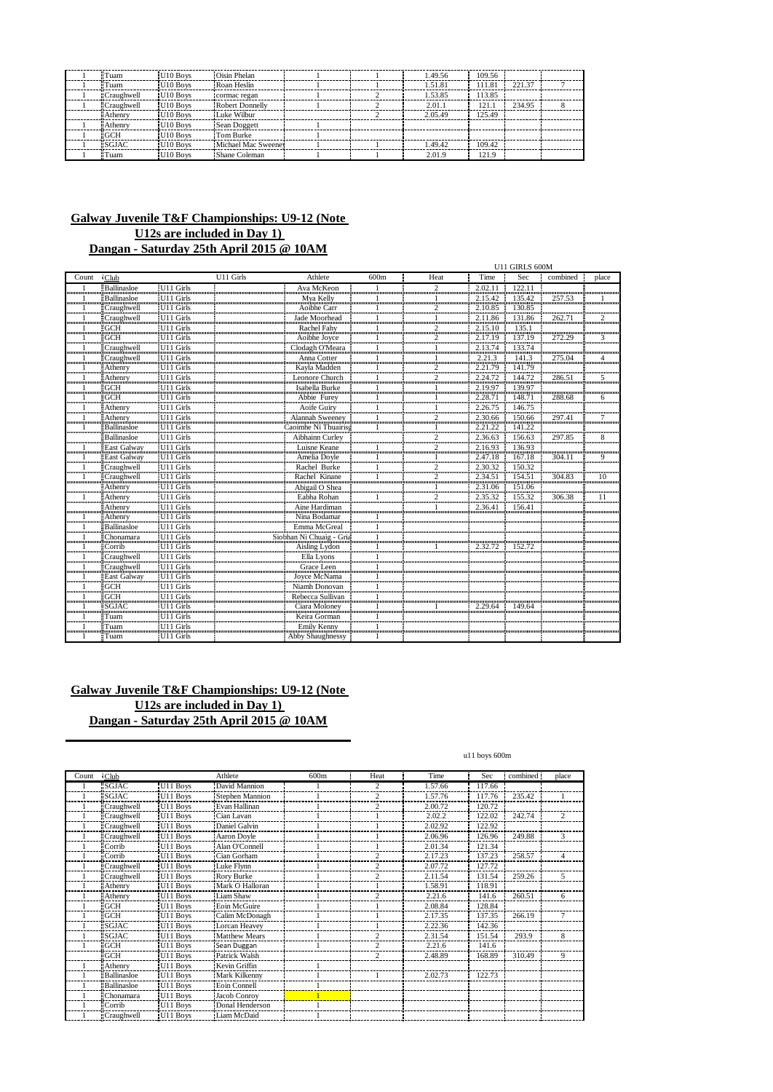| <b>Tuam</b>       | U <sub>10</sub> Boys | Oisin Phelan           |  | 1.49.56 | 109.56 |        |  |
|-------------------|----------------------|------------------------|--|---------|--------|--------|--|
| l Tuam            | U10 Boys             | Roan Heslin            |  | 1.51.81 | 111.81 | 221.37 |  |
| <b>Craughwell</b> | U <sub>10</sub> Boys | cormac regan           |  | 1.53.85 | 113.85 |        |  |
| <b>Craughwell</b> | U <sub>10</sub> Boys | <b>Robert Donnelly</b> |  | 2.01.1  | 121.1  | 234.95 |  |
| <b>Athenry</b>    | U <sub>10</sub> Boys | Luke Wilbur            |  | 2.05.49 | 125.49 |        |  |
| <b>Athenry</b>    | U <sub>10</sub> Boys | Sean Doggett           |  |         |        |        |  |
| $\Gamma$ GCH      | U10 Boys             | Tom Burke              |  |         |        |        |  |
| <b>SGJAC</b>      | U <sub>10</sub> Boys | Michael Mac Sweeney    |  | 1.49.42 | 109.42 |        |  |
| <b>Tuam</b>       | U <sub>10</sub> Boys | Shane Coleman          |  | 2.01.9  | 121.9  |        |  |

|                |                                         |                                      |           |                                                      |      | U11 GIRLS 600M               |                              |                   |                       |                         |
|----------------|-----------------------------------------|--------------------------------------|-----------|------------------------------------------------------|------|------------------------------|------------------------------|-------------------|-----------------------|-------------------------|
| Count          | $\sqrt{\text{Club}}$                    |                                      | U11 Girls | Athlete                                              | 600m | Heat                         | Time                         | Sec               | combined              | place                   |
|                | Ballinasloe                             | U11 Girls                            |           | Ava McKeon                                           |      | $\overline{c}$               | 2.02.11                      | 122.11            |                       |                         |
| <br>mmūn       | <b>Ballinasloe</b>                      | U11 Girls                            |           | Mva Kelly                                            |      |                              | 2.15.42                      | 135.42            | 257.53                |                         |
|                | <b>Craughwell</b><br>                   | U11 Girls                            |           | Aoibhe Carr<br>                                      |      |                              | 2.10.85<br>,,,,,,,,,,,,,,,,  | 130.85<br>        | ,,,,,,,,,,,,,,,,      |                         |
| <br>           | Craughwell                              | U11 Girls                            |           | Jade Moorhead                                        |      |                              | 2.11.86                      | 131.86            | 262.71                | $\mathcal{D}$           |
| ասասանատ       | ≣GCH<br><b>Municipality</b>             | U <sub>11</sub> Girls                |           | Rachel Fahv                                          |      |                              | 2.15.10<br>miniminimin       | 135.1<br>         |                       | ,,,,,,,,,,,,,,,,,,      |
|                | EGCH                                    | U11 Girls                            |           | Aoibhe Joyce                                         |      | 2                            | 2.17.19                      | 137.19<br>        | 272.29                | 3                       |
|                | Craughwell                              | U11 Girls                            |           | Clodagh O'Meara                                      |      |                              | 2.13.74<br>÷                 | 133.74            |                       |                         |
|                | ECraughwell                             | $U11$ Girls                          |           | Anna Cotter                                          |      |                              | 2.21.3<br>÷                  | $-141.3$          | 275.04                | $\overline{\mathbf{A}}$ |
|                | Athenry                                 | U11 Girls                            |           | Kavla Madden                                         |      | $\frac{2}{2}$                | 2.21.79                      | $\frac{1}{41.79}$ |                       |                         |
|                | Athenry                                 | U11 Girls                            |           | Leonore Church                                       |      | $\overline{c}$<br>           | 2.24.72 144.72               |                   | 286.51                | 5                       |
|                | <b>GCH</b>                              | U11 Girls                            |           | Isabella Burke                                       |      |                              | 2.19.97 139.97               |                   |                       |                         |
|                | ≣GCH<br>                                | U11 Girls                            |           | Abbie Furey                                          |      |                              | 2.28.71<br>,,,,,,,,,,,,,,,,, | 148.71            | 288.68                | 6                       |
|                | Athenry                                 | U11 Girls                            |           | Aoife Guiry                                          |      |                              | 2.26.75                      | 146.75            |                       |                         |
|                | Athenry                                 | U11 Girls<br>,,,,,,,,,,,,,,,,,,,,,,, |           | Alannah Sweeney                                      |      | $\mathfrak{D}$<br>,,,,,,,,,, | 2.30.66                      | 150.66            | 297.41                |                         |
|                | $\overline{\mathbf{B}}$ allinasloe      | U11 Girls                            |           | Caoimhe Ní Thuairis                                  |      |                              | 2.21.22                      | 141.22            |                       |                         |
|                | Ballinasloe                             | U11 Girls                            |           | Aibhainn Curley                                      |      | 2                            | 2.36.63                      | 156.63            | 297.85                | 8                       |
|                | East Galway                             | U11 Girls                            |           | Luisne Keane                                         |      | $\mathcal{P}$                | 2.16.93<br>                  | 136.93            |                       |                         |
|                | East Galway                             | U11 Girls                            |           | Amelia Doyle                                         |      |                              | 2.47.18                      | 167.18            | 304.11                | 9                       |
|                | Craughwell                              | U11 Girls<br>U11 Girls<br>           |           | Rachel Burke                                         |      |                              | 2.30.32                      | 150.32            |                       |                         |
|                | Craughwell                              |                                      |           | Rachel Kinane                                        |      | $\mathcal{P}$                | 2.34.51                      | 154.51            | 304.83                | 10                      |
| ,,,,,,,,,,,,,, | Athenry                                 | U11 Girls                            |           | Abigail O Shea                                       |      |                              | 2.31.06                      | 151.06            | ,,,,,,,,,,,,,,,,,,,,, | ,,,,,,,,,,,,,,,,        |
|                | Athenry                                 | U11 Girls                            |           | Eabha Rohan                                          |      | $\mathcal{P}$                | 2.35.32                      | 155.32            | 306.38                | 11                      |
| ,,,,,,,,,,,,,, | Athenry<br>ասասամա                      | U11 Girls<br>U11 Girls               |           | Aine Hardiman<br>,,,,,,,,,,,,,,,,,,,,,,,,,,,,,,,,,   |      |                              | 2.36.41                      | 156.41            |                       |                         |
|                | Athenry                                 |                                      |           | Nina Bodamar                                         |      |                              |                              |                   |                       |                         |
|                | Ballinasloe<br>,,,,,,,,,,,,,,,,,,,,,,,, | U11 Girls                            |           | Emma McGreal<br>,,,,,,,,,,,,,,,,,,,,,,,,,,,,,,,,,,,, |      |                              |                              |                   |                       |                         |
|                | Chonamara<br>                           | U11 Girls<br>                        |           | Siobhan Ni Chuaig - Gria                             |      |                              |                              |                   |                       |                         |
|                | Corrib                                  | U11 Girls                            |           | Aisling Lydon                                        |      |                              | 2 32 72                      | 152.72            |                       |                         |
|                | <b>Craughwell</b>                       | U11 Girls                            |           | Ella Lyons                                           |      |                              |                              |                   |                       |                         |
|                | Craughwell                              | U11 Girls                            |           | Grace Leen                                           |      |                              |                              |                   |                       |                         |
|                | East Galway                             | U <sub>11</sub> Girls                |           | Joyce McNama                                         |      |                              |                              |                   |                       |                         |
|                | GCH                                     | U11 Girls<br>                        |           | Niamh Donovan                                        |      |                              |                              |                   |                       |                         |
|                | <b>GCH</b><br>                          | U11 Girls<br>                        |           | Rebecca Sullivan<br>Ciara Moloney                    |      |                              |                              |                   |                       |                         |
|                | SGJAC                                   | U11 Girls                            |           |                                                      |      |                              | 2.29.64                      | 149.64            |                       |                         |
|                | ≣Tuam                                   | U11 Girls<br>                        |           | Keira Gorman                                         |      |                              |                              |                   |                       |                         |
|                | ≣Tuam                                   | U11 Girls                            |           | Emily Kenny                                          |      |                              |                              |                   |                       |                         |
|                | ≣Tuam                                   | U11 Girls!                           |           | Abby Shaughnessy                                     |      |                              |                              |                   |                       |                         |

## **Galway Juvenile T&F Championships: U9-12 (Note U12s are included in Day 1) Dangan - Saturday 25th April 2015 @ 10AM**

#### u11 boys 600m

| Count | $\cdot$ Club       |                      | Athlete             | 600m | Heat           | Time    | Sec    | combined | place |
|-------|--------------------|----------------------|---------------------|------|----------------|---------|--------|----------|-------|
|       | <b>SGJAC</b>       | U11 Boys             | David Mannion       |      | $\overline{c}$ | 1.57.66 | 117.66 |          |       |
|       | <b>SGJAC</b>       | U11 Boys             | Stephen Mannion     |      | 2              | 1.57.76 | 117.76 | 235.42   |       |
|       | Craughwell         | U11 Boys             | Evan Hallinan       |      | っ              | 2.00.72 | 120.72 |          |       |
|       | Craughwell         | U11 Boys             | Cian Lavan          |      |                | 2.02.2  | 122.02 | 242.74   | 2     |
|       | <b>Craughwell</b>  | U <sub>11</sub> Boys | Daniel Galvin       |      |                | 2.02.92 | 122.92 |          |       |
|       | Craughwell         | U11 Boys             | Aaron Doyle         |      |                | 2.06.96 | 126.96 | 249.88   | 3     |
|       | Corrib             | U11 Boys             | Alan O'Connell      |      |                | 2.01.34 | 121.34 |          |       |
|       | Corrib             | U <sub>11</sub> Boys | Cian Gorham         |      | $\mathcal{P}$  | 2.17.23 | 137.23 | 258.57   | 4     |
|       | Craughwell         | U <sub>11</sub> Boys | Luke Flynn          |      | 2              | 2.07.72 | 127.72 |          |       |
|       | Craughwell         | U <sub>11</sub> Boys | Rory Burke          |      | $\overline{c}$ | 2.11.54 | 131.54 | 259.26   | 5     |
|       | <b>Athenry</b>     | U11 Boys             | Mark O Halloran     |      |                | 1.58.91 | 118.91 |          |       |
|       | <b>Athenry</b>     | U11 Boys             | Liam Shaw           |      | $\overline{c}$ | 2.21.6  | 141.6  | 260.51   | 6     |
|       | <b>GCH</b>         | U11 Boys             | Eoin McGuire        |      |                | 2.08.84 | 128.84 |          |       |
|       | <b>GCH</b>         | U11 Boys             | Calim McDonagh      |      |                | 2.17.35 | 137.35 | 266.19   | 7     |
|       | <b>SGJAC</b>       | U11 Boys             | Lorcan Heavey       |      |                | 2.22.36 | 142.36 |          |       |
|       | <b>SGJAC</b>       | U11 Boys             | Matthew Mears       |      | $\overline{c}$ | 2.31.54 | 151.54 | 293.9    | 8     |
|       | <b>GCH</b>         | U <sub>11</sub> Boys | Sean Duggan         |      | $\overline{c}$ | 2.21.6  | 141.6  |          |       |
|       | <b>GCH</b>         | U11 Boys             | Patrick Walsh       |      | $\overline{c}$ | 2.48.89 | 168.89 | 310.49   | 9     |
|       | Athenry            | U11 Boys             | Kevin Griffin       |      |                |         |        |          |       |
|       | <b>Ballinasloe</b> | U11 Boys             | Mark Kilkenny       |      |                | 2.02.73 | 122.73 |          |       |
|       | Ballinasloe        | U11 Boys             | <b>Eoin Connell</b> |      |                |         |        |          |       |
|       | Chonamara          | U11 Boys             | Jacob Conroy        |      |                |         |        |          |       |
|       | Corrib             | U11 Boys             | Donal Henderson     |      |                |         |        |          |       |
|       | <b>Craughwell</b>  | U11 Boys             | Liam McDaid         |      |                |         |        |          |       |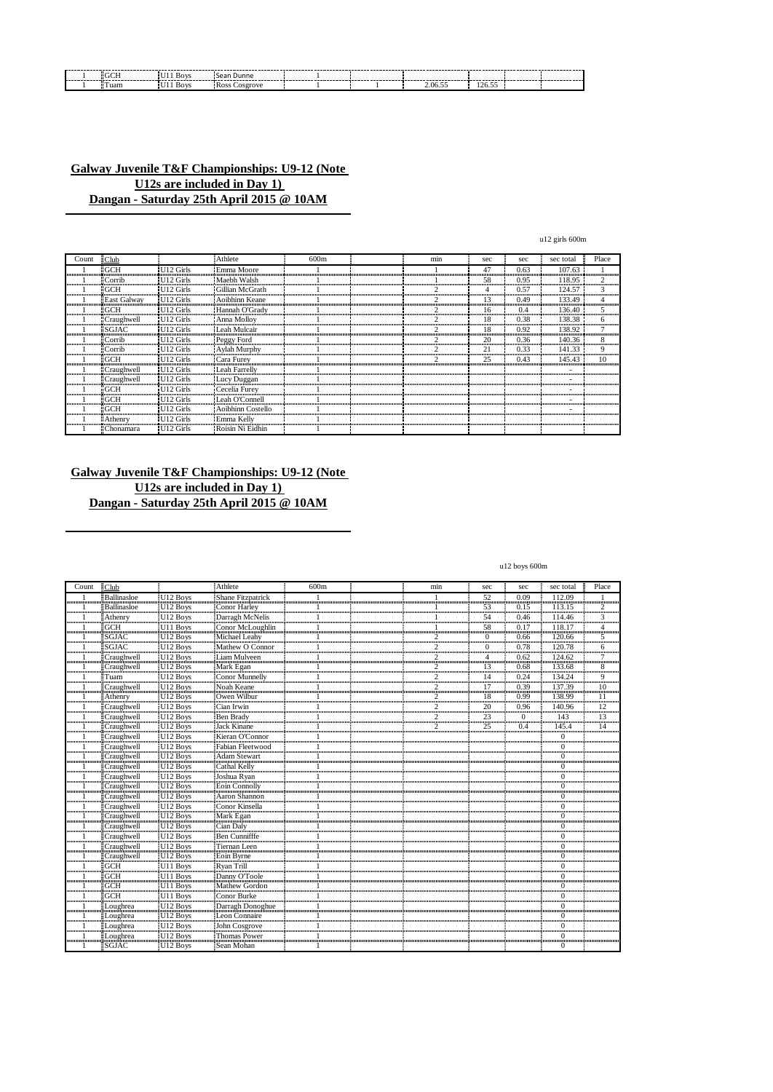| $-GCH$ | U11 Boys | Sean Dunne    |  |         |        |  |
|--------|----------|---------------|--|---------|--------|--|
| Tuam   | U11 Boys | Ross Cosgrove |  | 2.06.55 | 126.55 |  |

| Count                  | $\exists$ Club     |                       | Athlete            | 600m | min | sec             | sec  | sec total | Place                |
|------------------------|--------------------|-----------------------|--------------------|------|-----|-----------------|------|-----------|----------------------|
|                        | "GCH               | U12 Girls             | Emma Moore         |      |     | 47              | 0.63 | 107.63    |                      |
|                        | <b>Corrib</b>      | U <sub>12</sub> Girls | Maebh Walsh        |      |     | 58<br>.         | 0.95 | 118.95    |                      |
| ,,,,,,,,,,,,,,,,,,,,,, | "GCH               | U12 Girls             | Gillian McGrath    |      |     | ,,,,,,,,,,,,,,, | 0.57 | 124.57    |                      |
| 11111111111111111      | <b>East Galway</b> | U12 Girls             | Aoibhinn Keane     |      |     |                 | 0.49 | 133.49    | ,,,,,,,,,,,,,,,,,,,, |
|                        | : GCH              | U <sub>12</sub> Girls | Hannah O'Grady     |      |     | 16              | 0.4  | 136.40    | ,,,,,,,,,,,,,,,,,,,  |
| ,,,,,,,,,,,,,,,,,      | <b>Craughwell</b>  | U <sub>12</sub> Girls | <b>Anna Molloy</b> |      |     | 18              | 0.38 | 138.38    |                      |
|                        | <b>SGJAC</b>       | U12 Girls             | Leah Mulcair       |      |     | ,,,,,,,,,       | 0.92 | 138.92    |                      |
| ,,,,,,,,,,,,,,,,,,     | : Corrib           | U12 Girls             | Peggy Ford         |      |     | 20<br>          | 0.36 | 140.36    |                      |
| ,,,,,,,,,,,,,,,,,,,,,  | Corrib             | U12 Girls             | Aylah Murphy       |      |     | 21<br>          | 0.33 | 141.33    | ,,,,,,,,,,,,,,,,,    |
|                        | "GCH               | U <sub>12</sub> Girls | Cara Furey         |      |     | 25              | 0.43 | 145.43    |                      |
| ,,,,,,,,,,,,,,,,,,,,,  | <b>Craughwell</b>  | U <sub>12</sub> Girls | Leah Farrelly      |      |     |                 |      |           |                      |
| ,,,,,,,,,,,,,,,,,,,,,, | <b>Craughwell</b>  | U12 Girls             | Lucy Duggan        |      |     |                 |      |           |                      |
|                        | <b>GCH</b>         | U12 Girls             | Cecelia Furey      |      |     |                 |      |           |                      |
|                        | GCH                | U12 Girls             | Leah O'Connell     |      |     |                 |      |           |                      |
|                        | :GCH               | U12 Girls             | Aoibhinn Costello  |      |     |                 |      |           |                      |
|                        | <b>Athenry</b>     | U <sub>12</sub> Girls | Emma Kelly         |      |     |                 |      |           |                      |
|                        | Chonamara          | U <sub>12</sub> Girls | Roisin Ni Eidhin   |      |     |                 |      |           |                      |

## **Galway Juvenile T&F Championships: U9-12 (Note U12s are included in Day 1) Dangan - Saturday 25th April 2015 @ 10AM**

u12 boys 600m

u12 girls 600m

| Count | $\exists$ Club          |                      | :Athlete          | 600m | min           | sec        | sec               | sec total           | Place               |
|-------|-------------------------|----------------------|-------------------|------|---------------|------------|-------------------|---------------------|---------------------|
|       | <b>Ballinasloe</b>      | U <sub>12</sub> Boys | Shane Fitzpatrick |      |               | 52<br>mm   | 0.09              | 112.09<br>          |                     |
|       | <b>Ballinasloe</b>      | U <sub>12</sub> Boys | Conor Harley      |      |               | 53<br>     | 0.15              | 113.15              | $\overline{c}$      |
|       | Athenry                 | U <sub>12</sub> Boys | Darragh McNelis   |      |               | 54<br>mm   | 0.46              | 114.46              | 3                   |
|       | <b>GCH</b>              | U11 Boys<br>U12 Boys | Conor McLoughlin  |      |               | 58         | 0.17              | 118.17              | 4                   |
|       | SGJAC                   |                      | Michael Leahy     |      |               | $\Omega$   | 0.66              | 120.66              | 5                   |
|       | SGJAC                   | U <sub>12</sub> Boys | Mathew O Connor   |      | $\mathcal{P}$ | $\Omega$   | 0.78              | 120.78              | 6                   |
|       | Craughwell              | U <sub>12</sub> Boys | Liam Mulveen      |      | $\mathcal{D}$ | 4<br>m     | 0.62              |                     | $\overline{7}$      |
|       | Craughwell              | U12 Boys<br>U12 Boys | Mark Egan         |      | $\mathcal{P}$ | 13<br>     | 0.68              | 133.68              | 8                   |
|       | ≣Tuam                   |                      | Conor Munnelly    |      | p             | 14<br>mm   | 0.24              |                     | 9<br>minn           |
|       | Craughwell              | U <sub>12</sub> Boys | Noah Keane        |      |               | 17<br>     | 0.39<br>,,,,,,,,, | $\frac{15}{137.39}$ | $\overline{10}$<br> |
|       | Athenry                 | U <sub>12</sub> Boys | Owen Wilbur       |      | $\mathcal{D}$ | 18         | 0.99              | 138.99              | 11                  |
|       | Craughwell              | $U12$ Boys           | Cian Irwin        |      | $\mathcal{D}$ | 20<br>umin | 0.96              | 140.96              | 12<br>              |
|       | Craughwell              | $U12$ Boys           | Ben Brady         |      |               | 23<br>     | $\Omega$          | 143                 | 13<br>mm            |
|       | Craughwell              | U <sub>12</sub> Boys | Jack Kinane       |      |               | 25         | 0.4               | $\frac{1}{145.4}$   | 14                  |
|       | Craughwell              | U <sub>12</sub> Boys | Kieran O'Connor   |      |               |            |                   | $\Omega$            |                     |
|       | Craughwell              | U <sub>12</sub> Boys | Fabian Fleetwood  |      |               |            |                   | $\Omega$            |                     |
|       | Craughwell              | $U12$ Boys           | Adam Stewart      |      |               |            |                   | $\Omega$            |                     |
|       | Craughwell              | U <sub>12</sub> Boys | Cathal Kelly      |      |               |            |                   | $\Omega$            |                     |
|       | Craughwell              | U <sub>12</sub> Boys | i<br>IJoshua Rvan |      |               |            |                   | $\Omega$            |                     |
|       | <b>Craughwell</b>       | U12 Boys             | Eoin Connolly     |      |               |            |                   | $\Omega$            |                     |
|       | Craughwell              | U <sub>12</sub> Boys | Aaron Shannon     |      |               |            |                   | $\Omega$            |                     |
|       | Craughwell              | U12 Boys             | Conor Kinsella    |      |               |            |                   | $\Omega$            |                     |
|       | Craughwell              | U <sub>12</sub> Boys | Mark Egan         |      |               |            |                   | $\Omega$            |                     |
|       | Craughwell              | U <sub>12</sub> Boys | Cian Daly         |      |               |            |                   | $\Omega$            |                     |
|       | Craughwell              | U <sub>12</sub> Boys | Ben Cunnifffe     |      |               |            |                   | $\Omega$            |                     |
|       | Craughwell              | U12 Boys             | Tiernan Leen      |      |               |            |                   | $\Omega$            |                     |
|       | Craughwell              | U <sub>12</sub> Boys | Eoin Byrne        |      |               |            |                   | $\Omega$            |                     |
|       | -<br>-<br>GCH           | U11 Boys             | i<br>"Rvan Trill" |      |               |            |                   | $\Omega$            |                     |
|       | GCH                     | U <sub>11</sub> Boys | Danny O'Toole     |      |               |            |                   | $\Omega$            |                     |
|       | GCH                     | U11 Boys             | Mathew Gordon     |      |               |            |                   | $\Omega$            |                     |
|       | $-GCH$                  | U11 Boys             | Conor Burke       |      |               |            |                   | $\Omega$            |                     |
|       | ≣Loughrea               | U <sub>12</sub> Boys | Darragh Donoghue  |      |               |            |                   | $\Omega$            |                     |
|       | Loughrea                | U <sub>12</sub> Boys | Leon Connaire     |      |               |            |                   | $\Omega$            |                     |
|       | Loughrea                | U <sub>12</sub> Boys | John Cosgrove     |      |               |            |                   | $\Omega$            |                     |
|       | $\overline{L}$ Loughrea | U <sub>12</sub> Boys | Thomas Power      |      |               |            |                   | $\Omega$            |                     |
|       | <b>SGJAC</b>            | U <sub>12</sub> Boys | Sean Mohan        |      |               |            |                   | $\Omega$            |                     |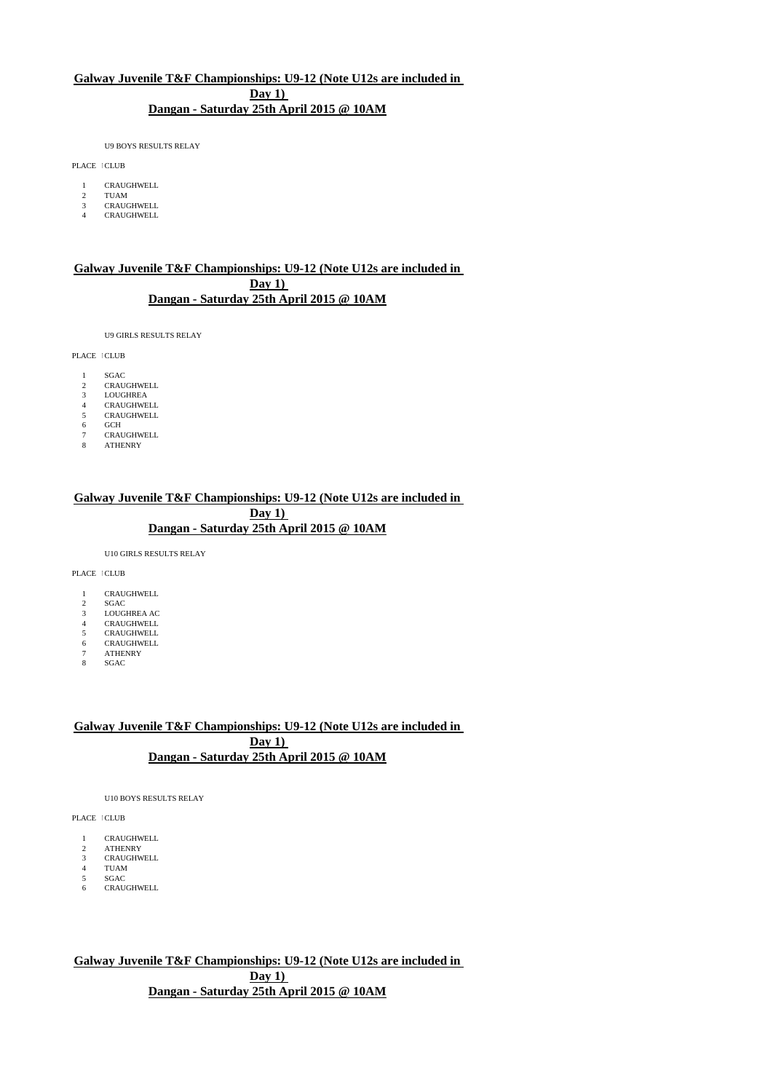U9 BOYS RESULTS RELAY

PLACE ICLUB

- 1 CRAUGHWELL
- 2 TUAM 3 CRAUGHWELL
- 4 CRAUGHWELL

## **Galway Juvenile T&F Championships: U9-12 (Note U12s are included in Day 1) Dangan - Saturday 25th April 2015 @ 10AM**

U9 GIRLS RESULTS RELAY

PLACE LCLUB

- 
- 1 SGAC<br>2 CRAU **CRAUGHWELL**
- 3 LOUGHREA
- 4 CRAUGHWELL<br>5 CRAUGHWELL 5 CRAUGHWELL<br>6 GCH
- 
- 6 GCH 7 CRAUGHWELL
- 8 ATHENRY

### **Galway Juvenile T&F Championships: U9-12 (Note U12s are included in Day 1) Dangan - Saturday 25th April 2015 @ 10AM**

U10 GIRLS RESULTS RELAY

PLACE ICLUB

- 1 CRAUGHWELL
- 2 SGAC 3 LOUGHREA AC
- 
- 4 CRAUGHWELL<br>5 CRAUGHWELL
- 5 CRAUGHWELL<br>6 CRAUGHWELL 6 CRAUGHWELL 7 ATHENRY
- 
- 8 SGAC

## **Galway Juvenile T&F Championships: U9-12 (Note U12s are included in Day 1) Dangan - Saturday 25th April 2015 @ 10AM**

U10 BOYS RESULTS RELAY

PLACE ICLUB

- 1 CRAUGHWELL<br>2 ATHENRY
- 2 ATHENRY<br>3 CRAUGHW **CRAUGHWELL**
- 

4 TUAM<br>5 SGAC 5 SGAC<br>6 CRAU

**CRAUGHWELL** 

**Galway Juvenile T&F Championships: U9-12 (Note U12s are included in Day 1) Dangan - Saturday 25th April 2015 @ 10AM**